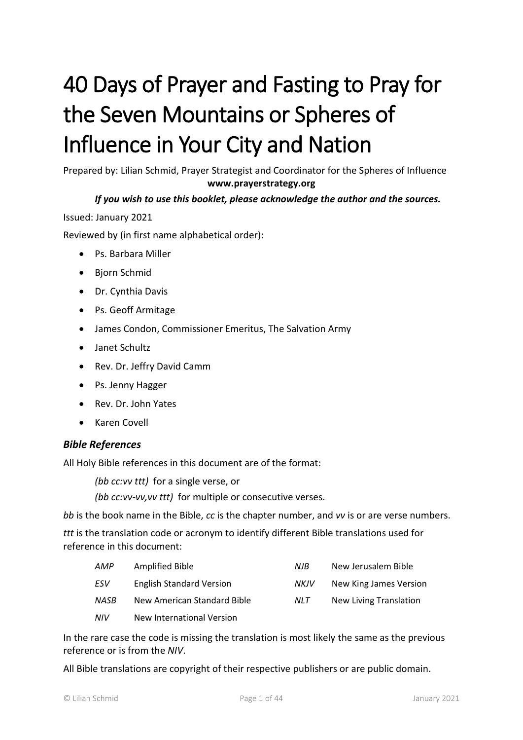# 40 Days of Prayer and Fasting to Pray for the Seven Mountains or Spheres of Influence in Your City and Nation

Prepared by: Lilian Schmid, Prayer Strategist and Coordinator for the Spheres of Influence **www.prayerstrategy.org**

## *If you wish to use this booklet, please acknowledge the author and the sources.*

Issued: January 2021

Reviewed by (in first name alphabetical order):

- Ps. Barbara Miller
- Bjorn Schmid
- Dr. Cynthia Davis
- Ps. Geoff Armitage
- James Condon, Commissioner Emeritus, The Salvation Army
- Janet Schultz
- Rev. Dr. Jeffry David Camm
- Ps. Jenny Hagger
- Rev. Dr. John Yates
- Karen Covell

#### *Bible References*

All Holy Bible references in this document are of the format:

*(bb cc:vv ttt)* for a single verse, or

*(bb cc:vv-vv,vv ttt)* for multiple or consecutive verses.

*bb* is the book name in the Bible, *cc* is the chapter number, and *vv* is or are verse numbers.

*ttt* is the translation code or acronym to identify different Bible translations used for reference in this document:

| AMP  | Amplified Bible                 | NJB  | New Jerusalem Bible    |
|------|---------------------------------|------|------------------------|
| ESV  | <b>English Standard Version</b> | NKJV | New King James Version |
| NASB | New American Standard Bible     | NLT. | New Living Translation |
| NIV  | New International Version       |      |                        |

In the rare case the code is missing the translation is most likely the same as the previous reference or is from the *NIV*.

All Bible translations are copyright of their respective publishers or are public domain.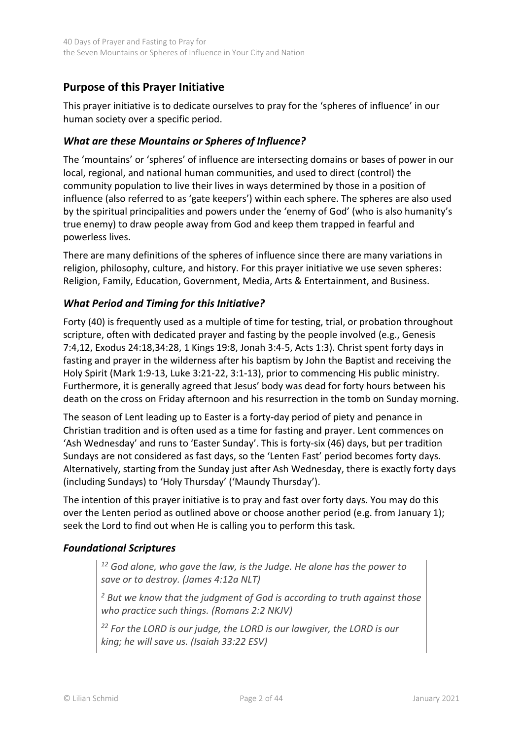# <span id="page-1-0"></span>**Purpose of this Prayer Initiative**

This prayer initiative is to dedicate ourselves to pray for the 'spheres of influence' in our human society over a specific period.

## *What are these Mountains or Spheres of Influence?*

The 'mountains' or 'spheres' of influence are intersecting domains or bases of power in our local, regional, and national human communities, and used to direct (control) the community population to live their lives in ways determined by those in a position of influence (also referred to as 'gate keepers') within each sphere. The spheres are also used by the spiritual principalities and powers under the 'enemy of God' (who is also humanity's true enemy) to draw people away from God and keep them trapped in fearful and powerless lives.

There are many definitions of the spheres of influence since there are many variations in religion, philosophy, culture, and history. For this prayer initiative we use seven spheres: Religion, Family, Education, Government, Media, Arts & Entertainment, and Business.

## *What Period and Timing for this Initiative?*

Forty (40) is frequently used as a multiple of time for testing, trial, or probation throughout scripture, often with dedicated prayer and fasting by the people involved (e.g., Genesis 7:4,12, Exodus 24:18,34:28, 1 Kings 19:8, Jonah 3:4-5, Acts 1:3). Christ spent forty days in fasting and prayer in the wilderness after his baptism by John the Baptist and receiving the Holy Spirit (Mark 1:9-13, Luke 3:21-22, 3:1-13), prior to commencing His public ministry. Furthermore, it is generally agreed that Jesus' body was dead for forty hours between his death on the cross on Friday afternoon and his resurrection in the tomb on Sunday morning.

The season of Lent leading up to Easter is a forty-day period of piety and penance in Christian tradition and is often used as a time for fasting and prayer. Lent commences on 'Ash Wednesday' and runs to 'Easter Sunday'. This is forty-six (46) days, but per tradition Sundays are not considered as fast days, so the 'Lenten Fast' period becomes forty days. Alternatively, starting from the Sunday just after Ash Wednesday, there is exactly forty days (including Sundays) to 'Holy Thursday' ('Maundy Thursday').

The intention of this prayer initiative is to pray and fast over forty days. You may do this over the Lenten period as outlined above or choose another period (e.g. from January 1); seek the Lord to find out when He is calling you to perform this task.

## *Foundational Scriptures*

*<sup>12</sup> God alone, who gave the law, is the Judge. He alone has the power to save or to destroy. (James 4:12a NLT)*

*<sup>2</sup> But we know that the judgment of God is according to truth against those who practice such things. (Romans 2:2 NKJV)*

*<sup>22</sup> For the LORD is our judge, the LORD is our lawgiver, the LORD is our king; he will save us. (Isaiah 33:22 ESV)*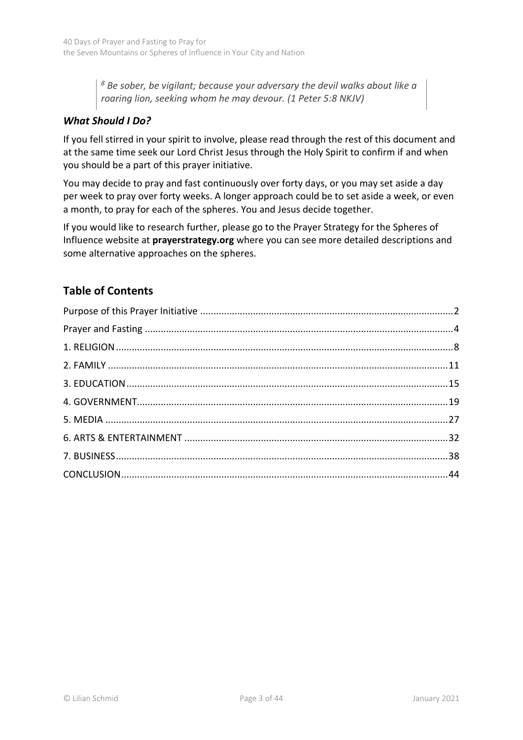*<sup>8</sup> Be sober, be vigilant; because your adversary the devil walks about like a roaring lion, seeking whom he may devour. (1 Peter 5:8 NKJV)*

# *What Should I Do?*

If you fell stirred in your spirit to involve, please read through the rest of this document and at the same time seek our Lord Christ Jesus through the Holy Spirit to confirm if and when you should be a part of this prayer initiative.

You may decide to pray and fast continuously over forty days, or you may set aside a day per week to pray over forty weeks. A longer approach could be to set aside a week, or even a month, to pray for each of the spheres. You and Jesus decide together.

If you would like to research further, please go to the Prayer Strategy for the Spheres of Influence website at **prayerstrategy.org** where you can see more detailed descriptions and some alternative approaches on the spheres.

# **Table of Contents**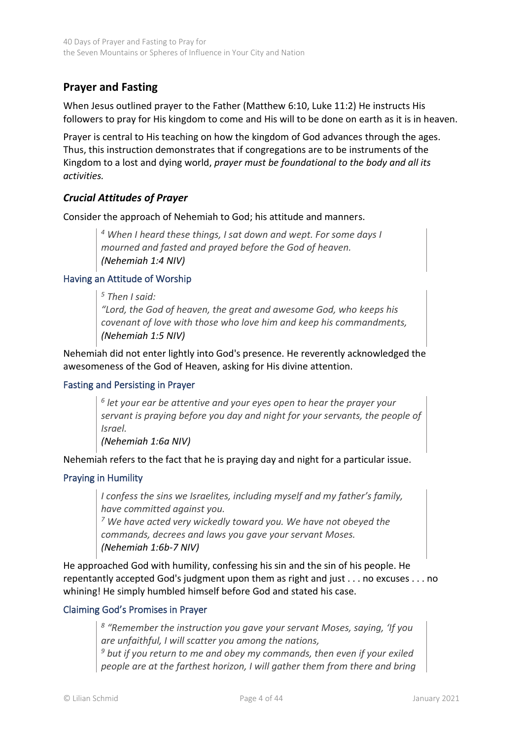# <span id="page-3-0"></span>**Prayer and Fasting**

When Jesus outlined prayer to the Father (Matthew 6:10, Luke 11:2) He instructs His followers to pray for His kingdom to come and His will to be done on earth as it is in heaven.

Prayer is central to His teaching on how the kingdom of God advances through the ages. Thus, this instruction demonstrates that if congregations are to be instruments of the Kingdom to a lost and dying world, *prayer must be foundational to the body and all its activities.*

## *Crucial Attitudes of Prayer*

Consider the approach of Nehemiah to God; his attitude and manners.

*<sup>4</sup> When I heard these things, I sat down and wept. For some days I mourned and fasted and prayed before the God of heaven. (Nehemiah 1:4 NIV)*

#### Having an Attitude of Worship

*<sup>5</sup> Then I said:*

*"Lord, the God of heaven, the great and awesome God, who keeps his covenant of love with those who love him and keep his commandments, (Nehemiah 1:5 NIV)*

Nehemiah did not enter lightly into God's presence. He reverently acknowledged the awesomeness of the God of Heaven, asking for His divine attention.

#### Fasting and Persisting in Prayer

*6 let your ear be attentive and your eyes open to hear the prayer your servant is praying before you day and night for your servants, the people of Israel.* 

*(Nehemiah 1:6a NIV)*

Nehemiah refers to the fact that he is praying day and night for a particular issue.

## Praying in Humility

*I confess the sins we Israelites, including myself and my father's family, have committed against you.*

*<sup>7</sup> We have acted very wickedly toward you. We have not obeyed the commands, decrees and laws you gave your servant Moses. (Nehemiah 1:6b-7 NIV)*

He approached God with humility, confessing his sin and the sin of his people. He repentantly accepted God's judgment upon them as right and just . . . no excuses . . . no whining! He simply humbled himself before God and stated his case.

#### Claiming God's Promises in Prayer

*8 "Remember the instruction you gave your servant Moses, saying, 'If you are unfaithful, I will scatter you among the nations,*

*<sup>9</sup> but if you return to me and obey my commands, then even if your exiled people are at the farthest horizon, I will gather them from there and bring*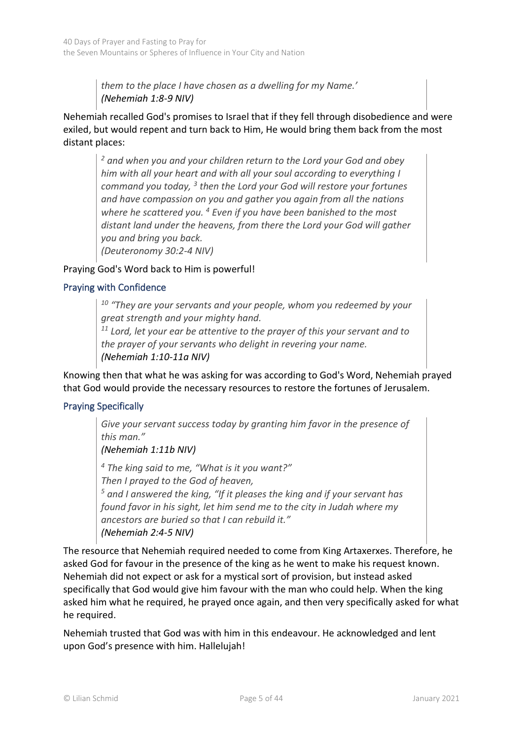*them to the place I have chosen as a dwelling for my Name.' (Nehemiah 1:8-9 NIV)*

Nehemiah recalled God's promises to Israel that if they fell through disobedience and were exiled, but would repent and turn back to Him, He would bring them back from the most distant places:

*<sup>2</sup> and when you and your children return to the Lord your God and obey him with all your heart and with all your soul according to everything I command you today, <sup>3</sup> then the Lord your God will restore your fortunes and have compassion on you and gather you again from all the nations where he scattered you. <sup>4</sup> Even if you have been banished to the most distant land under the heavens, from there the Lord your God will gather you and bring you back.*

*(Deuteronomy 30:2-4 NIV)* 

## Praying God's Word back to Him is powerful!

#### Praying with Confidence

*<sup>10</sup> "They are your servants and your people, whom you redeemed by your great strength and your mighty hand.*

*<sup>11</sup> Lord, let your ear be attentive to the prayer of this your servant and to the prayer of your servants who delight in revering your name. (Nehemiah 1:10-11a NIV)*

Knowing then that what he was asking for was according to God's Word, Nehemiah prayed that God would provide the necessary resources to restore the fortunes of Jerusalem.

## Praying Specifically

*Give your servant success today by granting him favor in the presence of this man." (Nehemiah 1:11b NIV) <sup>4</sup> The king said to me, "What is it you want?" Then I prayed to the God of heaven, <sup>5</sup> and I answered the king, "If it pleases the king and if your servant has found favor in his sight, let him send me to the city in Judah where my* 

*ancestors are buried so that I can rebuild it." (Nehemiah 2:4-5 NIV)*

The resource that Nehemiah required needed to come from King Artaxerxes. Therefore, he asked God for favour in the presence of the king as he went to make his request known. Nehemiah did not expect or ask for a mystical sort of provision, but instead asked specifically that God would give him favour with the man who could help. When the king asked him what he required, he prayed once again, and then very specifically asked for what he required.

Nehemiah trusted that God was with him in this endeavour. He acknowledged and lent upon God's presence with him. Hallelujah!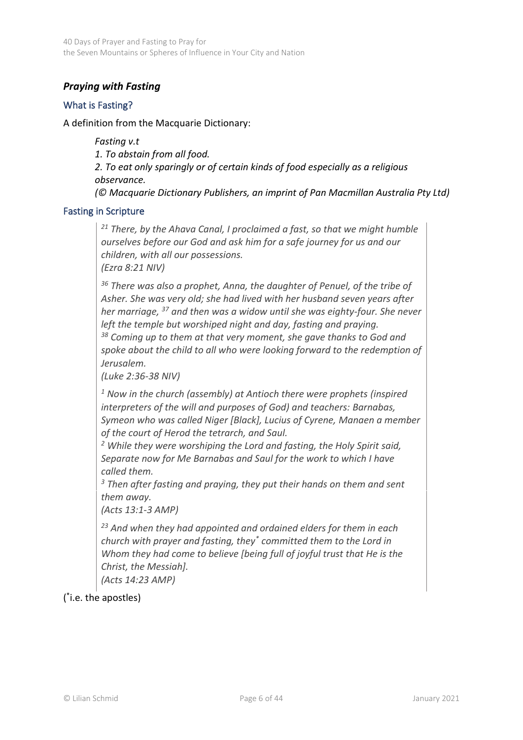# *Praying with Fasting*

## What is Fasting?

#### A definition from the Macquarie Dictionary:

*Fasting v.t 1. To abstain from all food. 2. To eat only sparingly or of certain kinds of food especially as a religious observance. (© Macquarie Dictionary Publishers, an imprint of Pan Macmillan Australia Pty Ltd)*

#### Fasting in Scripture

*<sup>21</sup> There, by the Ahava Canal, I proclaimed a fast, so that we might humble ourselves before our God and ask him for a safe journey for us and our children, with all our possessions.*

*(Ezra 8:21 NIV)*

*<sup>36</sup> There was also a prophet, Anna, the daughter of Penuel, of the tribe of Asher. She was very old; she had lived with her husband seven years after her marriage, <sup>37</sup> and then was a widow until she was eighty-four. She never left the temple but worshiped night and day, fasting and praying.* 

*<sup>38</sup> Coming up to them at that very moment, she gave thanks to God and spoke about the child to all who were looking forward to the redemption of Jerusalem.*

*(Luke 2:36-38 NIV)*

*<sup>1</sup> Now in the church (assembly) at Antioch there were prophets (inspired interpreters of the will and purposes of God) and teachers: Barnabas, Symeon who was called Niger [Black], Lucius of Cyrene, Manaen a member of the court of Herod the tetrarch, and Saul.*

*<sup>2</sup> While they were worshiping the Lord and fasting, the Holy Spirit said, Separate now for Me Barnabas and Saul for the work to which I have called them.*

*<sup>3</sup> Then after fasting and praying, they put their hands on them and sent them away.*

*(Acts 13:1-3 AMP)*

*<sup>23</sup> And when they had appointed and ordained elders for them in each church with prayer and fasting, they\* committed them to the Lord in Whom they had come to believe [being full of joyful trust that He is the Christ, the Messiah].*

*(Acts 14:23 AMP)*

( \* i.e. the apostles)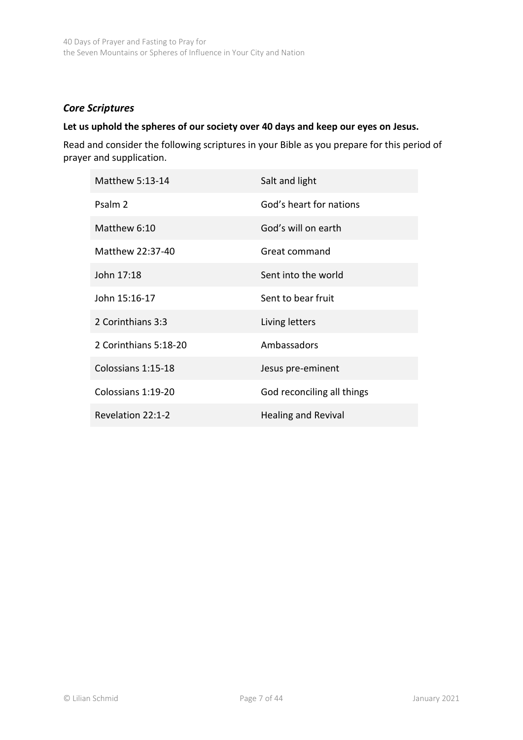## *Core Scriptures*

#### **Let us uphold the spheres of our society over 40 days and keep our eyes on Jesus.**

Read and consider the following scriptures in your Bible as you prepare for this period of prayer and supplication.

| Matthew 5:13-14       | Salt and light             |
|-----------------------|----------------------------|
| Psalm 2               | God's heart for nations    |
| Matthew 6:10          | God's will on earth        |
| Matthew 22:37-40      | Great command              |
| John 17:18            | Sent into the world        |
| John 15:16-17         | Sent to bear fruit         |
| 2 Corinthians 3:3     | Living letters             |
| 2 Corinthians 5:18-20 | Ambassadors                |
| Colossians 1:15-18    | Jesus pre-eminent          |
| Colossians 1:19-20    | God reconciling all things |
| Revelation 22:1-2     | <b>Healing and Revival</b> |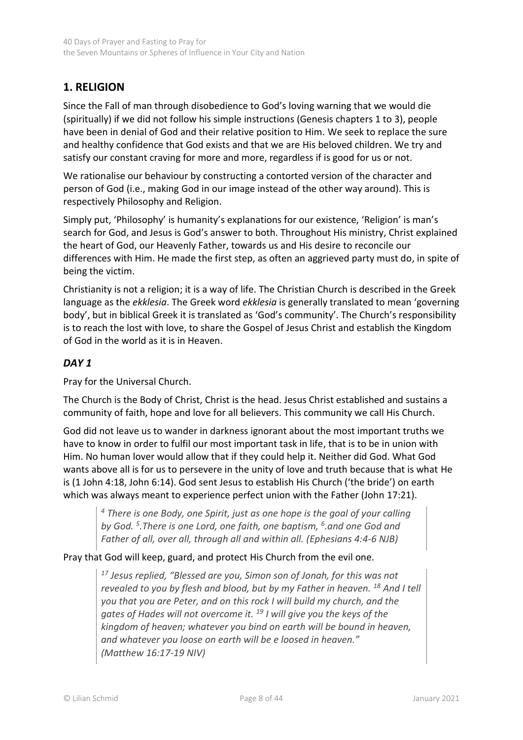# <span id="page-7-0"></span>**1. RELIGION**

Since the Fall of man through disobedience to God's loving warning that we would die (spiritually) if we did not follow his simple instructions (Genesis chapters 1 to 3), people have been in denial of God and their relative position to Him. We seek to replace the sure and healthy confidence that God exists and that we are His beloved children. We try and satisfy our constant craving for more and more, regardless if is good for us or not.

We rationalise our behaviour by constructing a contorted version of the character and person of God (i.e., making God in our image instead of the other way around). This is respectively Philosophy and Religion.

Simply put, 'Philosophy' is humanity's explanations for our existence, 'Religion' is man's search for God, and Jesus is God's answer to both. Throughout His ministry, Christ explained the heart of God, our Heavenly Father, towards us and His desire to reconcile our differences with Him. He made the first step, as often an aggrieved party must do, in spite of being the victim.

Christianity is not a religion; it is a way of life. The Christian Church is described in the Greek language as the *ekklesia*. The Greek word *ekklesia* is generally translated to mean 'governing body', but in biblical Greek it is translated as 'God's community'. The Church's responsibility is to reach the lost with love, to share the Gospel of Jesus Christ and establish the Kingdom of God in the world as it is in Heaven.

## *DAY 1*

Pray for the Universal Church.

The Church is the Body of Christ, Christ is the head. Jesus Christ established and sustains a community of faith, hope and love for all believers. This community we call His Church.

God did not leave us to wander in darkness ignorant about the most important truths we have to know in order to fulfil our most important task in life, that is to be in union with Him. No human lover would allow that if they could help it. Neither did God. What God wants above all is for us to persevere in the unity of love and truth because that is what He is (1 John 4:18, John 6:14). God sent Jesus to establish His Church ('the bride') on earth which was always meant to experience perfect union with the Father (John 17:21).

*<sup>4</sup> There is one Body, one Spirit, just as one hope is the goal of your calling by God. <sup>5</sup> .There is one Lord, one faith, one baptism, <sup>6</sup> .and one God and Father of all, over all, through all and within all. (Ephesians 4:4-6 NJB)*

Pray that God will keep, guard, and protect His Church from the evil one.

*<sup>17</sup> Jesus replied, "Blessed are you, Simon son of Jonah, for this was not revealed to you by flesh and blood, but by my Father in heaven. <sup>18</sup> And I tell you that you are Peter, and on this rock I will build my church, and the gates of Hades will not overcome it. <sup>19</sup> I will give you the keys of the kingdom of heaven; whatever you bind on earth will be bound in heaven, and whatever you loose on earth will be e loosed in heaven." (Matthew 16:17-19 NIV)*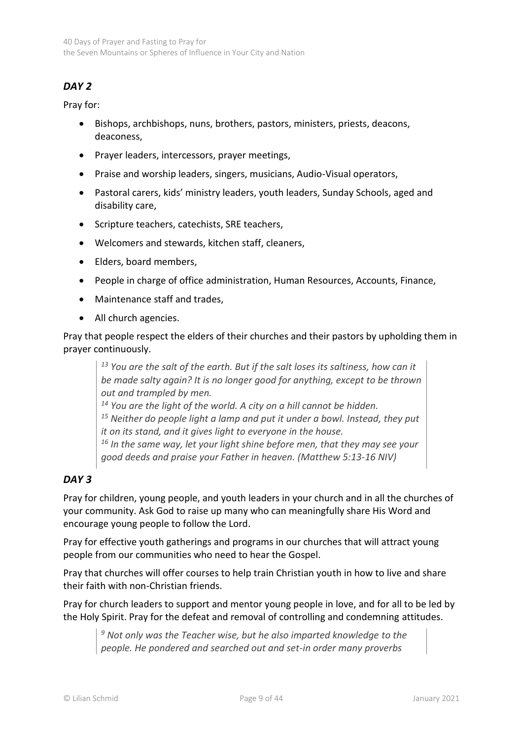# *DAY 2*

Pray for:

- Bishops, archbishops, nuns, brothers, pastors, ministers, priests, deacons, deaconess,
- Prayer leaders, intercessors, prayer meetings,
- Praise and worship leaders, singers, musicians, Audio-Visual operators,
- Pastoral carers, kids' ministry leaders, youth leaders, Sunday Schools, aged and disability care,
- Scripture teachers, catechists, SRE teachers,
- Welcomers and stewards, kitchen staff, cleaners,
- Elders, board members,
- People in charge of office administration, Human Resources, Accounts, Finance,
- Maintenance staff and trades,
- All church agencies.

Pray that people respect the elders of their churches and their pastors by upholding them in prayer continuously.

*<sup>13</sup> You are the salt of the earth. But if the salt loses its saltiness, how can it be made salty again? It is no longer good for anything, except to be thrown out and trampled by men.* 

*<sup>14</sup> You are the light of the world. A city on a hill cannot be hidden.* 

*<sup>15</sup> Neither do people light a lamp and put it under a bowl. Instead, they put it on its stand, and it gives light to everyone in the house.* 

*16 In the same way, let your light shine before men, that they may see your good deeds and praise your Father in heaven. (Matthew 5:13-16 NIV)*

## *DAY 3*

Pray for children, young people, and youth leaders in your church and in all the churches of your community. Ask God to raise up many who can meaningfully share His Word and encourage young people to follow the Lord.

Pray for effective youth gatherings and programs in our churches that will attract young people from our communities who need to hear the Gospel.

Pray that churches will offer courses to help train Christian youth in how to live and share their faith with non-Christian friends.

Pray for church leaders to support and mentor young people in love, and for all to be led by the Holy Spirit. Pray for the defeat and removal of controlling and condemning attitudes.

*<sup>9</sup> Not only was the Teacher wise, but he also imparted knowledge to the people. He pondered and searched out and set-in order many proverbs*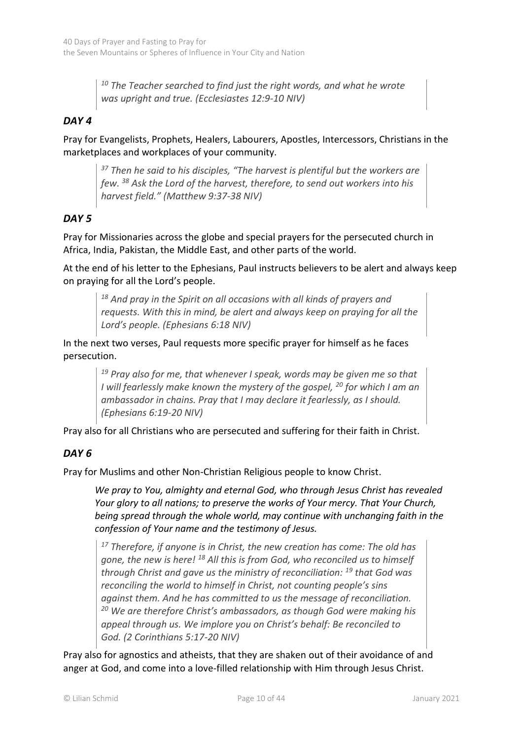*<sup>10</sup> The Teacher searched to find just the right words, and what he wrote was upright and true. (Ecclesiastes 12:9-10 NIV)*

## *DAY 4*

Pray for Evangelists, Prophets, Healers, Labourers, Apostles, Intercessors, Christians in the marketplaces and workplaces of your community.

*<sup>37</sup> Then he said to his disciples, "The harvest is plentiful but the workers are few. <sup>38</sup> Ask the Lord of the harvest, therefore, to send out workers into his harvest field." (Matthew 9:37-38 NIV)*

## *DAY 5*

Pray for Missionaries across the globe and special prayers for the persecuted church in Africa, India, Pakistan, the Middle East, and other parts of the world.

At the end of his letter to the Ephesians, Paul instructs believers to be alert and always keep on praying for all the Lord's people.

*<sup>18</sup> And pray in the Spirit on all occasions with all kinds of prayers and requests. With this in mind, be alert and always keep on praying for all the Lord's people. (Ephesians 6:18 NIV)*

In the next two verses, Paul requests more specific prayer for himself as he faces persecution.

> *<sup>19</sup> Pray also for me, that whenever I speak, words may be given me so that I will fearlessly make known the mystery of the gospel, <sup>20</sup> for which I am an ambassador in chains. Pray that I may declare it fearlessly, as I should. (Ephesians 6:19-20 NIV)*

Pray also for all Christians who are persecuted and suffering for their faith in Christ.

# *DAY 6*

Pray for Muslims and other Non-Christian Religious people to know Christ.

*We pray to You, almighty and eternal God, who through Jesus Christ has revealed Your glory to all nations; to preserve the works of Your mercy. That Your Church, being spread through the whole world, may continue with unchanging faith in the confession of Your name and the testimony of Jesus.*

*<sup>17</sup> Therefore, if anyone is in Christ, the new creation has come: The old has gone, the new is here! <sup>18</sup> All this is from God, who reconciled us to himself through Christ and gave us the ministry of reconciliation: <sup>19</sup> that God was reconciling the world to himself in Christ, not counting people's sins against them. And he has committed to us the message of reconciliation. <sup>20</sup> We are therefore Christ's ambassadors, as though God were making his appeal through us. We implore you on Christ's behalf: Be reconciled to God. (2 Corinthians 5:17-20 NIV)*

Pray also for agnostics and atheists, that they are shaken out of their avoidance of and anger at God, and come into a love-filled relationship with Him through Jesus Christ.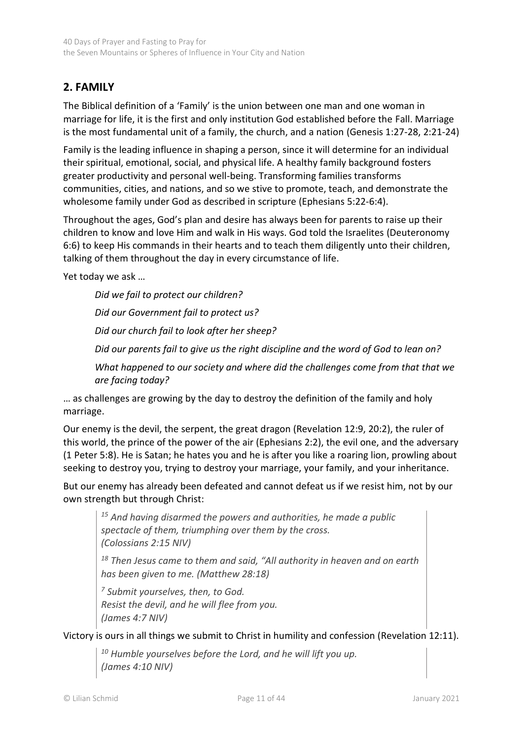# <span id="page-10-0"></span>**2. FAMILY**

The Biblical definition of a 'Family' is the union between one man and one woman in marriage for life, it is the first and only institution God established before the Fall. Marriage is the most fundamental unit of a family, the church, and a nation (Genesis 1:27-28, 2:21-24)

Family is the leading influence in shaping a person, since it will determine for an individual their spiritual, emotional, social, and physical life. A healthy family background fosters greater productivity and personal well-being. Transforming families transforms communities, cities, and nations, and so we stive to promote, teach, and demonstrate the wholesome family under God as described in scripture (Ephesians 5:22-6:4).

Throughout the ages, God's plan and desire has always been for parents to raise up their children to know and love Him and walk in His ways. God told the Israelites (Deuteronomy 6:6) to keep His commands in their hearts and to teach them diligently unto their children, talking of them throughout the day in every circumstance of life.

Yet today we ask …

*Did we fail to protect our children? Did our Government fail to protect us? Did our church fail to look after her sheep? Did our parents fail to give us the right discipline and the word of God to lean on? What happened to our society and where did the challenges come from that that we are facing today?*

… as challenges are growing by the day to destroy the definition of the family and holy marriage.

Our enemy is the devil, the serpent, the great dragon (Revelation 12:9, 20:2), the ruler of this world, the prince of the power of the air (Ephesians 2:2), the evil one, and the adversary (1 Peter 5:8). He is Satan; he hates you and he is after you like a roaring lion, prowling about seeking to destroy you, trying to destroy your marriage, your family, and your inheritance.

But our enemy has already been defeated and cannot defeat us if we resist him, not by our own strength but through Christ:

*<sup>15</sup> And having disarmed the powers and authorities, he made a public spectacle of them, triumphing over them by the cross. (Colossians 2:15 NIV)*

*<sup>18</sup> Then Jesus came to them and said, "All authority in heaven and on earth has been given to me. (Matthew 28:18)*

*<sup>7</sup> Submit yourselves, then, to God. Resist the devil, and he will flee from you. (James 4:7 NIV)*

Victory is ours in all things we submit to Christ in humility and confession (Revelation 12:11).

*<sup>10</sup> Humble yourselves before the Lord, and he will lift you up. (James 4:10 NIV)*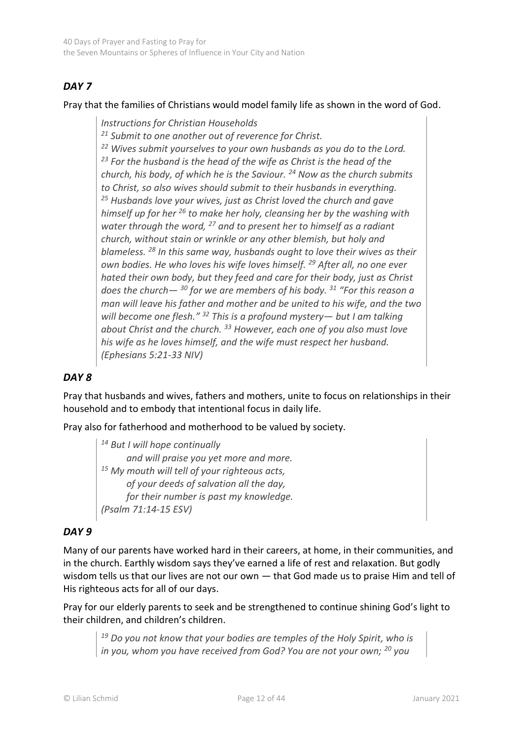# *DAY 7*

Pray that the families of Christians would model family life as shown in the word of God.

*Instructions for Christian Households <sup>21</sup> Submit to one another out of reverence for Christ. <sup>22</sup> Wives submit yourselves to your own husbands as you do to the Lord. <sup>23</sup> For the husband is the head of the wife as Christ is the head of the church, his body, of which he is the Saviour. <sup>24</sup> Now as the church submits to Christ, so also wives should submit to their husbands in everything. <sup>25</sup> Husbands love your wives, just as Christ loved the church and gave himself up for her <sup>26</sup> to make her holy, cleansing her by the washing with water through the word, <sup>27</sup> and to present her to himself as a radiant church, without stain or wrinkle or any other blemish, but holy and blameless. <sup>28</sup> In this same way, husbands ought to love their wives as their own bodies. He who loves his wife loves himself. <sup>29</sup> After all, no one ever hated their own body, but they feed and care for their body, just as Christ does the church— <sup>30</sup> for we are members of his body. <sup>31</sup> "For this reason a man will leave his father and mother and be united to his wife, and the two will become one flesh." <sup>32</sup> This is a profound mystery— but I am talking about Christ and the church. <sup>33</sup> However, each one of you also must love his wife as he loves himself, and the wife must respect her husband. (Ephesians 5:21-33 NIV)*

## *DAY 8*

Pray that husbands and wives, fathers and mothers, unite to focus on relationships in their household and to embody that intentional focus in daily life.

Pray also for fatherhood and motherhood to be valued by society.

*<sup>14</sup> But I will hope continually and will praise you yet more and more. <sup>15</sup> My mouth will tell of your righteous acts, of your deeds of salvation all the day, for their number is past my knowledge. (Psalm 71:14-15 ESV)*

## *DAY 9*

Many of our parents have worked hard in their careers, at home, in their communities, and in the church. Earthly wisdom says they've earned a life of rest and relaxation. But godly wisdom tells us that our lives are not our own — that God made us to praise Him and tell of His righteous acts for all of our days.

Pray for our elderly parents to seek and be strengthened to continue shining God's light to their children, and children's children.

*<sup>19</sup> Do you not know that your bodies are temples of the Holy Spirit, who is in you, whom you have received from God? You are not your own; <sup>20</sup> you*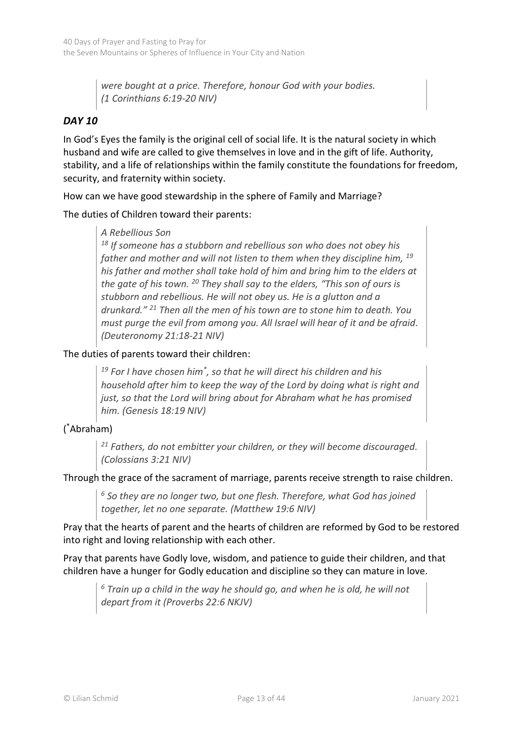*were bought at a price. Therefore, honour God with your bodies. (1 Corinthians 6:19-20 NIV)*

# *DAY 10*

In God's Eyes the family is the original cell of social life. It is the natural society in which husband and wife are called to give themselves in love and in the gift of life. Authority, stability, and a life of relationships within the family constitute the foundations for freedom, security, and fraternity within society.

How can we have good stewardship in the sphere of Family and Marriage?

The duties of Children toward their parents:

#### *A Rebellious Son*

*<sup>18</sup> If someone has a stubborn and rebellious son who does not obey his father and mother and will not listen to them when they discipline him, <sup>19</sup> his father and mother shall take hold of him and bring him to the elders at the gate of his town. <sup>20</sup> They shall say to the elders, "This son of ours is stubborn and rebellious. He will not obey us. He is a glutton and a drunkard." <sup>21</sup> Then all the men of his town are to stone him to death. You must purge the evil from among you. All Israel will hear of it and be afraid. (Deuteronomy 21:18-21 NIV)*

#### The duties of parents toward their children:

*<sup>19</sup> For I have chosen him\* , so that he will direct his children and his household after him to keep the way of the Lord by doing what is right and just, so that the Lord will bring about for Abraham what he has promised him. (Genesis 18:19 NIV)*

## ( \*Abraham)

*<sup>21</sup> Fathers, do not embitter your children, or they will become discouraged. (Colossians 3:21 NIV)*

Through the grace of the sacrament of marriage, parents receive strength to raise children.

*<sup>6</sup> So they are no longer two, but one flesh. Therefore, what God has joined together, let no one separate. (Matthew 19:6 NIV)*

Pray that the hearts of parent and the hearts of children are reformed by God to be restored into right and loving relationship with each other.

Pray that parents have Godly love, wisdom, and patience to guide their children, and that children have a hunger for Godly education and discipline so they can mature in love.

*<sup>6</sup> Train up a child in the way he should go, and when he is old, he will not depart from it (Proverbs 22:6 NKJV)*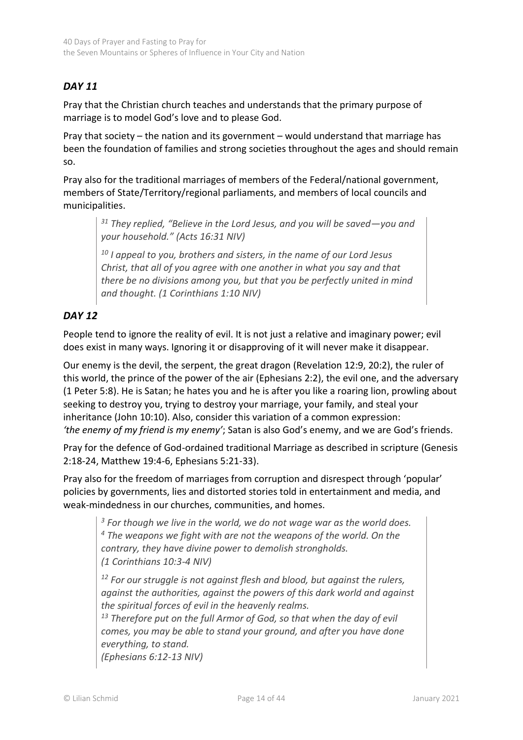# *DAY 11*

Pray that the Christian church teaches and understands that the primary purpose of marriage is to model God's love and to please God.

Pray that society – the nation and its government – would understand that marriage has been the foundation of families and strong societies throughout the ages and should remain so.

Pray also for the traditional marriages of members of the Federal/national government, members of State/Territory/regional parliaments, and members of local councils and municipalities.

*<sup>31</sup> They replied, "Believe in the Lord Jesus, and you will be saved—you and your household." (Acts 16:31 NIV)*

*<sup>10</sup> I appeal to you, brothers and sisters, in the name of our Lord Jesus Christ, that all of you agree with one another in what you say and that there be no divisions among you, but that you be perfectly united in mind and thought. (1 Corinthians 1:10 NIV)*

## *DAY 12*

People tend to ignore the reality of evil. It is not just a relative and imaginary power; evil does exist in many ways. Ignoring it or disapproving of it will never make it disappear.

Our enemy is the devil, the serpent, the great dragon (Revelation 12:9, 20:2), the ruler of this world, the prince of the power of the air (Ephesians 2:2), the evil one, and the adversary (1 Peter 5:8). He is Satan; he hates you and he is after you like a roaring lion, prowling about seeking to destroy you, trying to destroy your marriage, your family, and steal your inheritance (John 10:10). Also, consider this variation of a common expression: *'the enemy of my friend is my enemy'*; Satan is also God's enemy, and we are God's friends.

Pray for the defence of God-ordained traditional Marriage as described in scripture (Genesis 2:18-24, Matthew 19:4-6, Ephesians 5:21-33).

Pray also for the freedom of marriages from corruption and disrespect through 'popular' policies by governments, lies and distorted stories told in entertainment and media, and weak-mindedness in our churches, communities, and homes.

*<sup>3</sup> For though we live in the world, we do not wage war as the world does. <sup>4</sup> The weapons we fight with are not the weapons of the world. On the contrary, they have divine power to demolish strongholds. (1 Corinthians 10:3-4 NIV)*

*<sup>12</sup> For our struggle is not against flesh and blood, but against the rulers, against the authorities, against the powers of this dark world and against the spiritual forces of evil in the heavenly realms.*

*<sup>13</sup> Therefore put on the full Armor of God, so that when the day of evil comes, you may be able to stand your ground, and after you have done everything, to stand.* 

*(Ephesians 6:12-13 NIV)*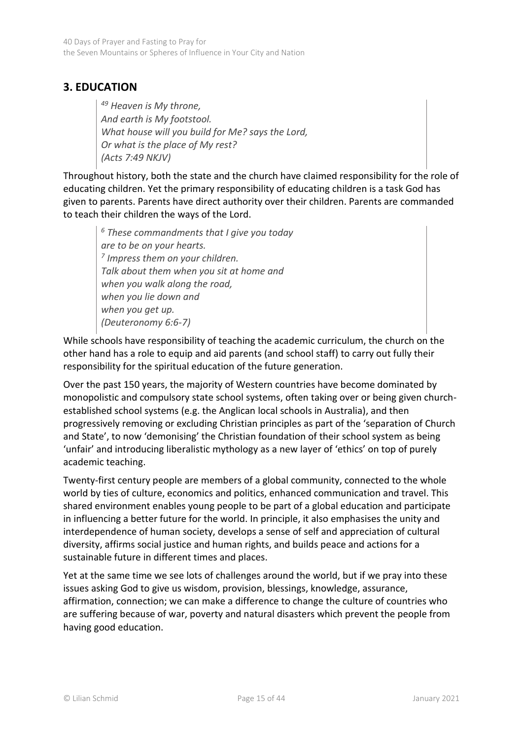# <span id="page-14-0"></span>**3. EDUCATION**

*<sup>49</sup> Heaven is My throne, And earth is My footstool. What house will you build for Me? says the Lord, Or what is the place of My rest? (Acts 7:49 NKJV)*

Throughout history, both the state and the church have claimed responsibility for the role of educating children. Yet the primary responsibility of educating children is a task God has given to parents. Parents have direct authority over their children. Parents are commanded to teach their children the ways of the Lord.

*<sup>6</sup> These commandments that I give you today are to be on your hearts. 7 Impress them on your children. Talk about them when you sit at home and when you walk along the road, when you lie down and when you get up. (Deuteronomy 6:6-7)*

While schools have responsibility of teaching the academic curriculum, the church on the other hand has a role to equip and aid parents (and school staff) to carry out fully their responsibility for the spiritual education of the future generation.

Over the past 150 years, the majority of Western countries have become dominated by monopolistic and compulsory state school systems, often taking over or being given churchestablished school systems (e.g. the Anglican local schools in Australia), and then progressively removing or excluding Christian principles as part of the 'separation of Church and State', to now 'demonising' the Christian foundation of their school system as being 'unfair' and introducing liberalistic mythology as a new layer of 'ethics' on top of purely academic teaching.

Twenty-first century people are members of a global community, connected to the whole world by ties of culture, economics and politics, enhanced communication and travel. This shared environment enables young people to be part of a global education and participate in influencing a better future for the world. In principle, it also emphasises the unity and interdependence of human society, develops a sense of self and appreciation of cultural diversity, affirms social justice and human rights, and builds peace and actions for a sustainable future in different times and places.

Yet at the same time we see lots of challenges around the world, but if we pray into these issues asking God to give us wisdom, provision, blessings, knowledge, assurance, affirmation, connection; we can make a difference to change the culture of countries who are suffering because of war, poverty and natural disasters which prevent the people from having good education.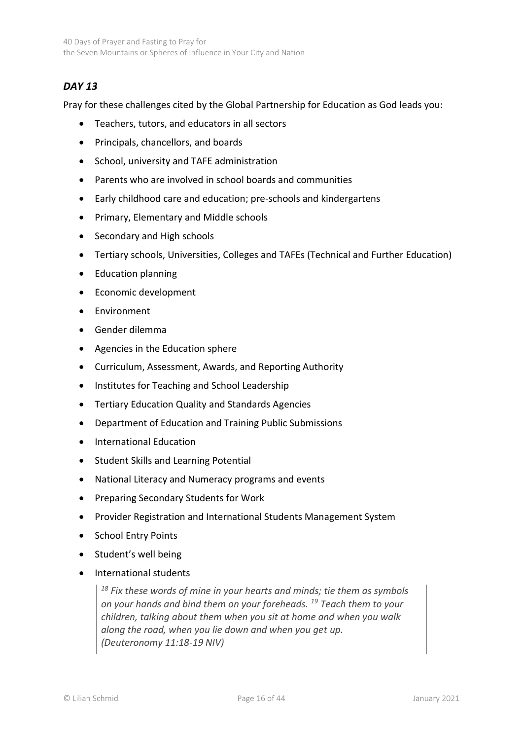# *DAY 13*

Pray for these challenges cited by the Global Partnership for Education as God leads you:

- Teachers, tutors, and educators in all sectors
- Principals, chancellors, and boards
- School, university and TAFE administration
- Parents who are involved in school boards and communities
- Early childhood care and education; pre-schools and kindergartens
- Primary, Elementary and Middle schools
- Secondary and High schools
- Tertiary schools, Universities, Colleges and TAFEs (Technical and Further Education)
- Education planning
- Economic development
- Environment
- Gender dilemma
- Agencies in the Education sphere
- Curriculum, Assessment, Awards, and Reporting Authority
- Institutes for Teaching and School Leadership
- Tertiary Education Quality and Standards Agencies
- Department of Education and Training Public Submissions
- International Education
- Student Skills and Learning Potential
- National Literacy and Numeracy programs and events
- Preparing Secondary Students for Work
- Provider Registration and International Students Management System
- School Entry Points
- Student's well being
- International students

*<sup>18</sup> Fix these words of mine in your hearts and minds; tie them as symbols on your hands and bind them on your foreheads. <sup>19</sup> Teach them to your children, talking about them when you sit at home and when you walk along the road, when you lie down and when you get up. (Deuteronomy 11:18-19 NIV)*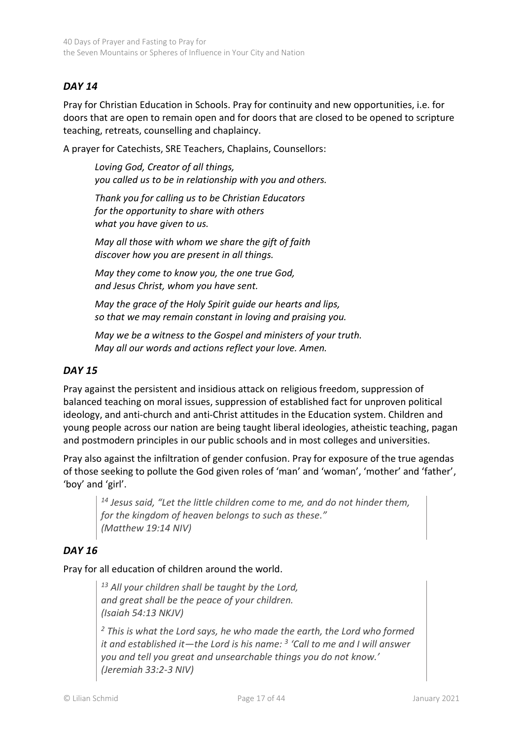# *DAY 14*

Pray for Christian Education in Schools. Pray for continuity and new opportunities, i.e. for doors that are open to remain open and for doors that are closed to be opened to scripture teaching, retreats, counselling and chaplaincy.

A prayer for Catechists, SRE Teachers, Chaplains, Counsellors:

*Loving God, Creator of all things, you called us to be in relationship with you and others.*

*Thank you for calling us to be Christian Educators for the opportunity to share with others what you have given to us.*

*May all those with whom we share the gift of faith discover how you are present in all things.*

*May they come to know you, the one true God, and Jesus Christ, whom you have sent.*

*May the grace of the Holy Spirit guide our hearts and lips, so that we may remain constant in loving and praising you.*

*May we be a witness to the Gospel and ministers of your truth. May all our words and actions reflect your love. Amen.*

## *DAY 15*

Pray against the persistent and insidious attack on religious freedom, suppression of balanced teaching on moral issues, suppression of established fact for unproven political ideology, and anti-church and anti-Christ attitudes in the Education system. Children and young people across our nation are being taught liberal ideologies, atheistic teaching, pagan and postmodern principles in our public schools and in most colleges and universities.

Pray also against the infiltration of gender confusion. Pray for exposure of the true agendas of those seeking to pollute the God given roles of 'man' and 'woman', 'mother' and 'father', 'boy' and 'girl'.

*<sup>14</sup> Jesus said, "Let the little children come to me, and do not hinder them, for the kingdom of heaven belongs to such as these." (Matthew 19:14 NIV)*

#### *DAY 16*

#### Pray for all education of children around the world.

*<sup>13</sup> All your children shall be taught by the Lord, and great shall be the peace of your children. (Isaiah 54:13 NKJV)* 

*<sup>2</sup> This is what the Lord says, he who made the earth, the Lord who formed it and established it—the Lord is his name: <sup>3</sup> 'Call to me and I will answer you and tell you great and unsearchable things you do not know.' (Jeremiah 33:2-3 NIV)*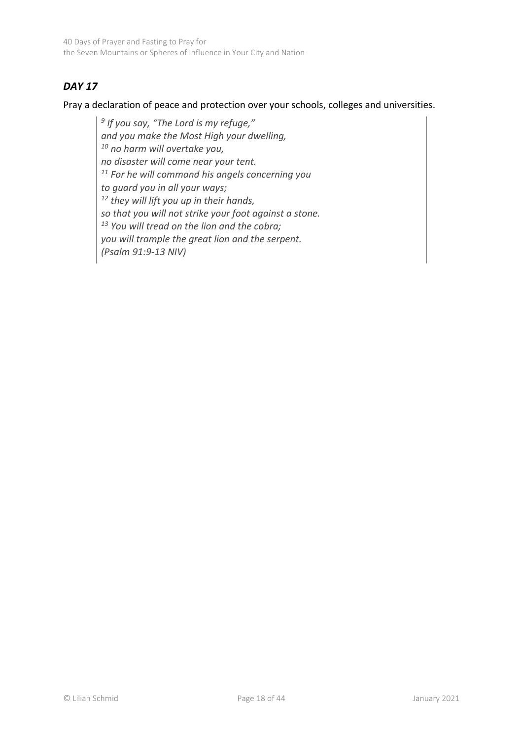40 Days of Prayer and Fasting to Pray for the Seven Mountains or Spheres of Influence in Your City and Nation

# *DAY 17*

Pray a declaration of peace and protection over your schools, colleges and universities.

*9 If you say, "The Lord is my refuge," and you make the Most High your dwelling, <sup>10</sup> no harm will overtake you, no disaster will come near your tent. <sup>11</sup> For he will command his angels concerning you to guard you in all your ways; <sup>12</sup> they will lift you up in their hands, so that you will not strike your foot against a stone. <sup>13</sup> You will tread on the lion and the cobra; you will trample the great lion and the serpent. (Psalm 91:9-13 NIV)*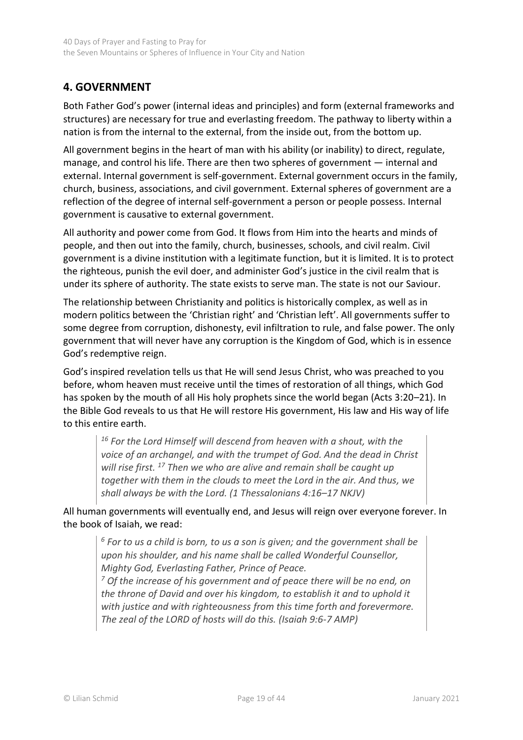# <span id="page-18-0"></span>**4. GOVERNMENT**

Both Father God's power (internal ideas and principles) and form (external frameworks and structures) are necessary for true and everlasting freedom. The pathway to liberty within a nation is from the internal to the external, from the inside out, from the bottom up.

All government begins in the heart of man with his ability (or inability) to direct, regulate, manage, and control his life. There are then two spheres of government — internal and external. Internal government is self-government. External government occurs in the family, church, business, associations, and civil government. External spheres of government are a reflection of the degree of internal self-government a person or people possess. Internal government is causative to external government.

All authority and power come from God. It flows from Him into the hearts and minds of people, and then out into the family, church, businesses, schools, and civil realm. Civil government is a divine institution with a legitimate function, but it is limited. It is to protect the righteous, punish the evil doer, and administer God's justice in the civil realm that is under its sphere of authority. The state exists to serve man. The state is not our Saviour.

The relationship between Christianity and politics is historically complex, as well as in modern politics between the 'Christian right' and 'Christian left'. All governments suffer to some degree from corruption, dishonesty, evil infiltration to rule, and false power. The only government that will never have any corruption is the Kingdom of God, which is in essence God's redemptive reign.

God's inspired revelation tells us that He will send Jesus Christ, who was preached to you before, whom heaven must receive until the times of restoration of all things, which God has spoken by the mouth of all His holy prophets since the world began (Acts 3:20–21). In the Bible God reveals to us that He will restore His government, His law and His way of life to this entire earth.

*<sup>16</sup> For the Lord Himself will descend from heaven with a shout, with the voice of an archangel, and with the trumpet of God. And the dead in Christ will rise first. <sup>17</sup> Then we who are alive and remain shall be caught up together with them in the clouds to meet the Lord in the air. And thus, we shall always be with the Lord. (1 Thessalonians 4:16–17 NKJV)*

All human governments will eventually end, and Jesus will reign over everyone forever. In the book of Isaiah, we read:

*<sup>6</sup> For to us a child is born, to us a son is given; and the government shall be upon his shoulder, and his name shall be called Wonderful Counsellor, Mighty God, Everlasting Father, Prince of Peace.*

*<sup>7</sup> Of the increase of his government and of peace there will be no end, on the throne of David and over his kingdom, to establish it and to uphold it with justice and with righteousness from this time forth and forevermore. The zeal of the LORD of hosts will do this. (Isaiah 9:6-7 AMP)*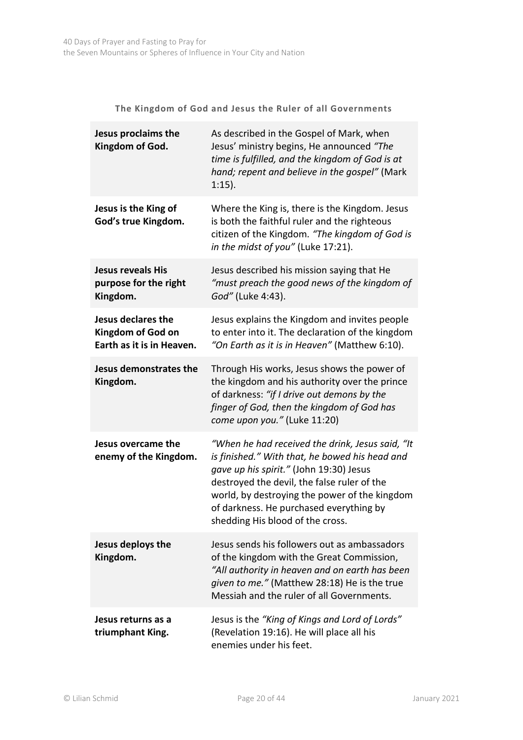**The Kingdom of God and Jesus the Ruler of all Governments**

| Jesus proclaims the<br>Kingdom of God.                                      | As described in the Gospel of Mark, when<br>Jesus' ministry begins, He announced "The<br>time is fulfilled, and the kingdom of God is at<br>hand; repent and believe in the gospel" (Mark<br>$1:15$ ).                                                                                                                      |
|-----------------------------------------------------------------------------|-----------------------------------------------------------------------------------------------------------------------------------------------------------------------------------------------------------------------------------------------------------------------------------------------------------------------------|
| Jesus is the King of<br>God's true Kingdom.                                 | Where the King is, there is the Kingdom. Jesus<br>is both the faithful ruler and the righteous<br>citizen of the Kingdom. "The kingdom of God is<br>in the midst of you" (Luke 17:21).                                                                                                                                      |
| <b>Jesus reveals His</b><br>purpose for the right<br>Kingdom.               | Jesus described his mission saying that He<br>"must preach the good news of the kingdom of<br>God" (Luke 4:43).                                                                                                                                                                                                             |
| Jesus declares the<br><b>Kingdom of God on</b><br>Earth as it is in Heaven. | Jesus explains the Kingdom and invites people<br>to enter into it. The declaration of the kingdom<br>"On Earth as it is in Heaven" (Matthew 6:10).                                                                                                                                                                          |
| Jesus demonstrates the<br>Kingdom.                                          | Through His works, Jesus shows the power of<br>the kingdom and his authority over the prince<br>of darkness: "if I drive out demons by the<br>finger of God, then the kingdom of God has<br>come upon you." (Luke 11:20)                                                                                                    |
| Jesus overcame the<br>enemy of the Kingdom.                                 | "When he had received the drink, Jesus said, "It<br>is finished." With that, he bowed his head and<br>gave up his spirit." (John 19:30) Jesus<br>destroyed the devil, the false ruler of the<br>world, by destroying the power of the kingdom<br>of darkness. He purchased everything by<br>shedding His blood of the cross |
| Jesus deploys the<br>Kingdom.                                               | Jesus sends his followers out as ambassadors<br>of the kingdom with the Great Commission,<br>"All authority in heaven and on earth has been<br>given to me." (Matthew 28:18) He is the true<br>Messiah and the ruler of all Governments.                                                                                    |
| Jesus returns as a<br>triumphant King.                                      | Jesus is the "King of Kings and Lord of Lords"<br>(Revelation 19:16). He will place all his<br>enemies under his feet.                                                                                                                                                                                                      |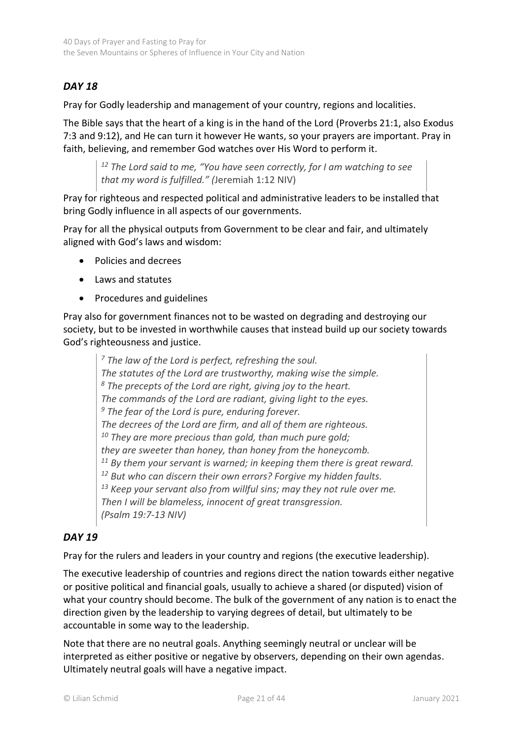# *DAY 18*

Pray for Godly leadership and management of your country, regions and localities.

The Bible says that the heart of a king is in the hand of the Lord (Proverbs 21:1, also Exodus 7:3 and 9:12), and He can turn it however He wants, so your prayers are important. Pray in faith, believing, and remember God watches over His Word to perform it.

*<sup>12</sup> The Lord said to me, "You have seen correctly, for I am watching to see that my word is fulfilled." (*Jeremiah 1:12 NIV)

Pray for righteous and respected political and administrative leaders to be installed that bring Godly influence in all aspects of our governments.

Pray for all the physical outputs from Government to be clear and fair, and ultimately aligned with God's laws and wisdom:

- Policies and decrees
- Laws and statutes
- Procedures and guidelines

Pray also for government finances not to be wasted on degrading and destroying our society, but to be invested in worthwhile causes that instead build up our society towards God's righteousness and justice.

*<sup>7</sup> The law of the Lord is perfect, refreshing the soul. The statutes of the Lord are trustworthy, making wise the simple. <sup>8</sup> The precepts of the Lord are right, giving joy to the heart. The commands of the Lord are radiant, giving light to the eyes. <sup>9</sup> The fear of the Lord is pure, enduring forever. The decrees of the Lord are firm, and all of them are righteous. <sup>10</sup> They are more precious than gold, than much pure gold; they are sweeter than honey, than honey from the honeycomb. <sup>11</sup> By them your servant is warned; in keeping them there is great reward. <sup>12</sup> But who can discern their own errors? Forgive my hidden faults. <sup>13</sup> Keep your servant also from willful sins; may they not rule over me. Then I will be blameless, innocent of great transgression. (Psalm 19:7-13 NIV)*

## *DAY 19*

Pray for the rulers and leaders in your country and regions (the executive leadership).

The executive leadership of countries and regions direct the nation towards either negative or positive political and financial goals, usually to achieve a shared (or disputed) vision of what your country should become. The bulk of the government of any nation is to enact the direction given by the leadership to varying degrees of detail, but ultimately to be accountable in some way to the leadership.

Note that there are no neutral goals. Anything seemingly neutral or unclear will be interpreted as either positive or negative by observers, depending on their own agendas. Ultimately neutral goals will have a negative impact.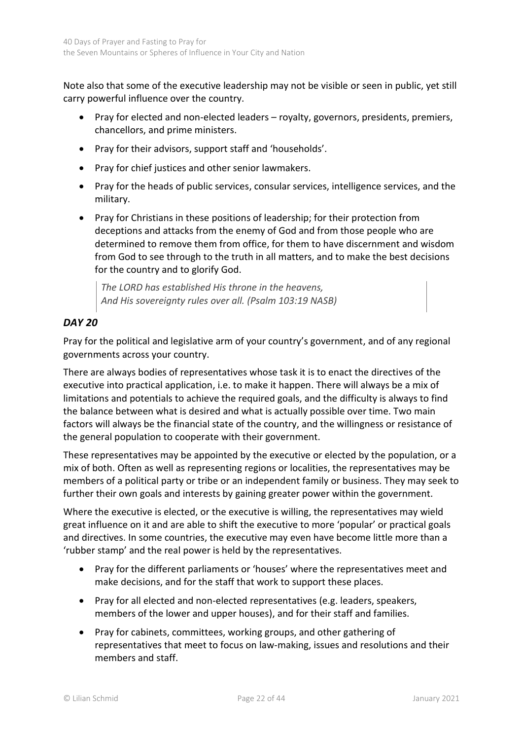Note also that some of the executive leadership may not be visible or seen in public, yet still carry powerful influence over the country.

- Pray for elected and non-elected leaders royalty, governors, presidents, premiers, chancellors, and prime ministers.
- Pray for their advisors, support staff and 'households'.
- Pray for chief justices and other senior lawmakers.
- Pray for the heads of public services, consular services, intelligence services, and the military.
- Pray for Christians in these positions of leadership; for their protection from deceptions and attacks from the enemy of God and from those people who are determined to remove them from office, for them to have discernment and wisdom from God to see through to the truth in all matters, and to make the best decisions for the country and to glorify God.

*The LORD has established His throne in the heavens, And His sovereignty rules over all. (Psalm 103:19 NASB)*

# *DAY 20*

Pray for the political and legislative arm of your country's government, and of any regional governments across your country.

There are always bodies of representatives whose task it is to enact the directives of the executive into practical application, i.e. to make it happen. There will always be a mix of limitations and potentials to achieve the required goals, and the difficulty is always to find the balance between what is desired and what is actually possible over time. Two main factors will always be the financial state of the country, and the willingness or resistance of the general population to cooperate with their government.

These representatives may be appointed by the executive or elected by the population, or a mix of both. Often as well as representing regions or localities, the representatives may be members of a political party or tribe or an independent family or business. They may seek to further their own goals and interests by gaining greater power within the government.

Where the executive is elected, or the executive is willing, the representatives may wield great influence on it and are able to shift the executive to more 'popular' or practical goals and directives. In some countries, the executive may even have become little more than a 'rubber stamp' and the real power is held by the representatives.

- Pray for the different parliaments or 'houses' where the representatives meet and make decisions, and for the staff that work to support these places.
- Pray for all elected and non-elected representatives (e.g. leaders, speakers, members of the lower and upper houses), and for their staff and families.
- Pray for cabinets, committees, working groups, and other gathering of representatives that meet to focus on law-making, issues and resolutions and their members and staff.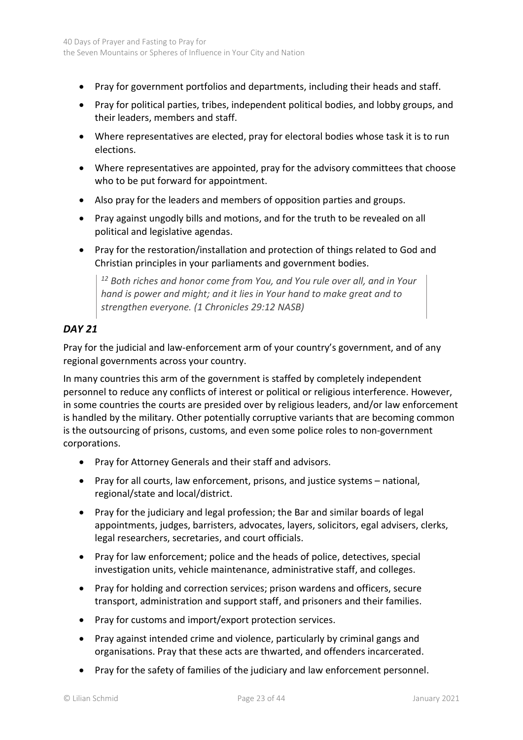- Pray for government portfolios and departments, including their heads and staff.
- Pray for political parties, tribes, independent political bodies, and lobby groups, and their leaders, members and staff.
- Where representatives are elected, pray for electoral bodies whose task it is to run elections.
- Where representatives are appointed, pray for the advisory committees that choose who to be put forward for appointment.
- Also pray for the leaders and members of opposition parties and groups.
- Pray against ungodly bills and motions, and for the truth to be revealed on all political and legislative agendas.
- Pray for the restoration/installation and protection of things related to God and Christian principles in your parliaments and government bodies.

*<sup>12</sup> Both riches and honor come from You, and You rule over all, and in Your hand is power and might; and it lies in Your hand to make great and to strengthen everyone. (1 Chronicles 29:12 NASB)* 

## *DAY 21*

Pray for the judicial and law-enforcement arm of your country's government, and of any regional governments across your country.

In many countries this arm of the government is staffed by completely independent personnel to reduce any conflicts of interest or political or religious interference. However, in some countries the courts are presided over by religious leaders, and/or law enforcement is handled by the military. Other potentially corruptive variants that are becoming common is the outsourcing of prisons, customs, and even some police roles to non-government corporations.

- Pray for Attorney Generals and their staff and advisors.
- Pray for all courts, law enforcement, prisons, and justice systems national, regional/state and local/district.
- Pray for the judiciary and legal profession; the Bar and similar boards of legal appointments, judges, barristers, advocates, layers, solicitors, egal advisers, clerks, legal researchers, secretaries, and court officials.
- Pray for law enforcement; police and the heads of police, detectives, special investigation units, vehicle maintenance, administrative staff, and colleges.
- Pray for holding and correction services; prison wardens and officers, secure transport, administration and support staff, and prisoners and their families.
- Pray for customs and import/export protection services.
- Pray against intended crime and violence, particularly by criminal gangs and organisations. Pray that these acts are thwarted, and offenders incarcerated.
- Pray for the safety of families of the judiciary and law enforcement personnel.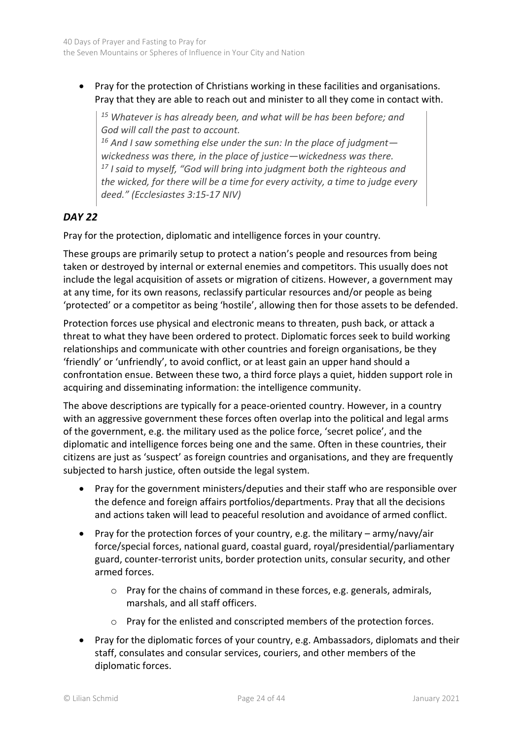• Pray for the protection of Christians working in these facilities and organisations. Pray that they are able to reach out and minister to all they come in contact with.

*<sup>15</sup> Whatever is has already been, and what will be has been before; and God will call the past to account.* 

*<sup>16</sup> And I saw something else under the sun: In the place of judgment wickedness was there, in the place of justice—wickedness was there. <sup>17</sup> I said to myself, "God will bring into judgment both the righteous and the wicked, for there will be a time for every activity, a time to judge every deed." (Ecclesiastes 3:15-17 NIV)*

# *DAY 22*

Pray for the protection, diplomatic and intelligence forces in your country.

These groups are primarily setup to protect a nation's people and resources from being taken or destroyed by internal or external enemies and competitors. This usually does not include the legal acquisition of assets or migration of citizens. However, a government may at any time, for its own reasons, reclassify particular resources and/or people as being 'protected' or a competitor as being 'hostile', allowing then for those assets to be defended.

Protection forces use physical and electronic means to threaten, push back, or attack a threat to what they have been ordered to protect. Diplomatic forces seek to build working relationships and communicate with other countries and foreign organisations, be they 'friendly' or 'unfriendly', to avoid conflict, or at least gain an upper hand should a confrontation ensue. Between these two, a third force plays a quiet, hidden support role in acquiring and disseminating information: the intelligence community.

The above descriptions are typically for a peace-oriented country. However, in a country with an aggressive government these forces often overlap into the political and legal arms of the government, e.g. the military used as the police force, 'secret police', and the diplomatic and intelligence forces being one and the same. Often in these countries, their citizens are just as 'suspect' as foreign countries and organisations, and they are frequently subjected to harsh justice, often outside the legal system.

- Pray for the government ministers/deputies and their staff who are responsible over the defence and foreign affairs portfolios/departments. Pray that all the decisions and actions taken will lead to peaceful resolution and avoidance of armed conflict.
- Pray for the protection forces of your country, e.g. the military  $-$  army/navy/air force/special forces, national guard, coastal guard, royal/presidential/parliamentary guard, counter-terrorist units, border protection units, consular security, and other armed forces.
	- o Pray for the chains of command in these forces, e.g. generals, admirals, marshals, and all staff officers.
	- o Pray for the enlisted and conscripted members of the protection forces.
- Pray for the diplomatic forces of your country, e.g. Ambassadors, diplomats and their staff, consulates and consular services, couriers, and other members of the diplomatic forces.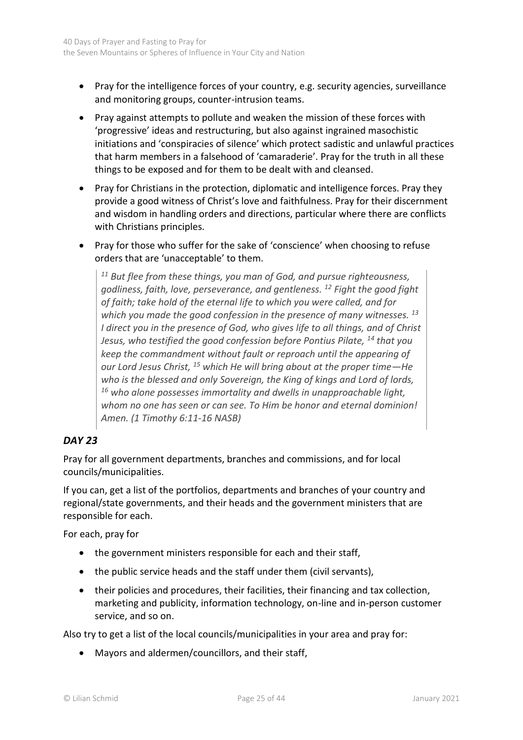- Pray for the intelligence forces of your country, e.g. security agencies, surveillance and monitoring groups, counter-intrusion teams.
- Pray against attempts to pollute and weaken the mission of these forces with 'progressive' ideas and restructuring, but also against ingrained masochistic initiations and 'conspiracies of silence' which protect sadistic and unlawful practices that harm members in a falsehood of 'camaraderie'. Pray for the truth in all these things to be exposed and for them to be dealt with and cleansed.
- Pray for Christians in the protection, diplomatic and intelligence forces. Pray they provide a good witness of Christ's love and faithfulness. Pray for their discernment and wisdom in handling orders and directions, particular where there are conflicts with Christians principles.
- Pray for those who suffer for the sake of 'conscience' when choosing to refuse orders that are 'unacceptable' to them.

*<sup>11</sup> But flee from these things, you man of God, and pursue righteousness, godliness, faith, love, perseverance, and gentleness. <sup>12</sup> Fight the good fight of faith; take hold of the eternal life to which you were called, and for which you made the good confession in the presence of many witnesses. <sup>13</sup> I direct you in the presence of God, who gives life to all things, and of Christ Jesus, who testified the good confession before Pontius Pilate, <sup>14</sup> that you keep the commandment without fault or reproach until the appearing of our Lord Jesus Christ, <sup>15</sup> which He will bring about at the proper time—He who is the blessed and only Sovereign, the King of kings and Lord of lords, <sup>16</sup> who alone possesses immortality and dwells in unapproachable light, whom no one has seen or can see. To Him be honor and eternal dominion! Amen. (1 Timothy 6:11-16 NASB)*

# *DAY 23*

Pray for all government departments, branches and commissions, and for local councils/municipalities.

If you can, get a list of the portfolios, departments and branches of your country and regional/state governments, and their heads and the government ministers that are responsible for each.

For each, pray for

- the government ministers responsible for each and their staff,
- the public service heads and the staff under them (civil servants),
- their policies and procedures, their facilities, their financing and tax collection, marketing and publicity, information technology, on-line and in-person customer service, and so on.

Also try to get a list of the local councils/municipalities in your area and pray for:

• Mayors and aldermen/councillors, and their staff,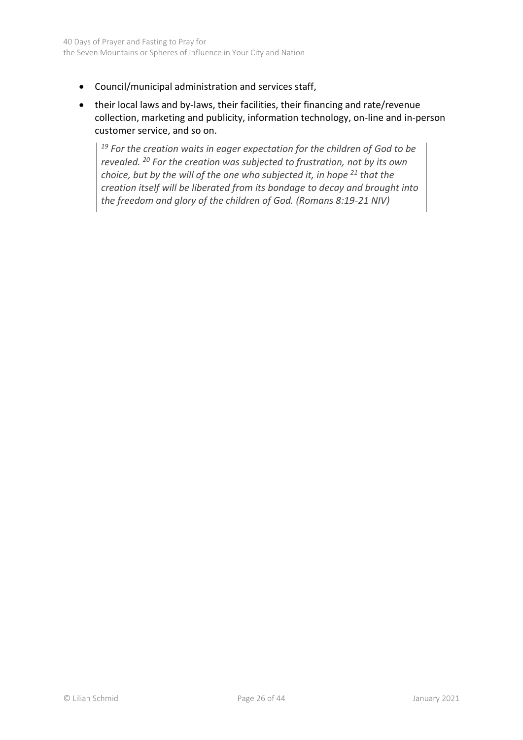- Council/municipal administration and services staff,
- their local laws and by-laws, their facilities, their financing and rate/revenue collection, marketing and publicity, information technology, on-line and in-person customer service, and so on.

*<sup>19</sup> For the creation waits in eager expectation for the children of God to be revealed. <sup>20</sup> For the creation was subjected to frustration, not by its own choice, but by the will of the one who subjected it, in hope <sup>21</sup> that the creation itself will be liberated from its bondage to decay and brought into the freedom and glory of the children of God. (Romans 8:19-21 NIV)*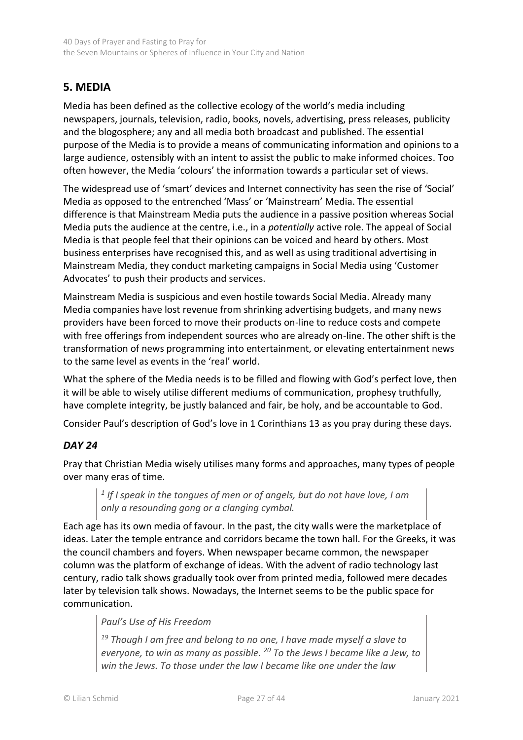# <span id="page-26-0"></span>**5. MEDIA**

Media has been defined as the collective ecology of the world's media including newspapers, journals, television, radio, books, novels, advertising, press releases, publicity and the blogosphere; any and all media both broadcast and published. The essential purpose of the Media is to provide a means of communicating information and opinions to a large audience, ostensibly with an intent to assist the public to make informed choices. Too often however, the Media 'colours' the information towards a particular set of views.

The widespread use of 'smart' devices and Internet connectivity has seen the rise of 'Social' Media as opposed to the entrenched 'Mass' or 'Mainstream' Media. The essential difference is that Mainstream Media puts the audience in a passive position whereas Social Media puts the audience at the centre, i.e., in a *potentially* active role. The appeal of Social Media is that people feel that their opinions can be voiced and heard by others. Most business enterprises have recognised this, and as well as using traditional advertising in Mainstream Media, they conduct marketing campaigns in Social Media using 'Customer Advocates' to push their products and services.

Mainstream Media is suspicious and even hostile towards Social Media. Already many Media companies have lost revenue from shrinking advertising budgets, and many news providers have been forced to move their products on-line to reduce costs and compete with free offerings from independent sources who are already on-line. The other shift is the transformation of news programming into entertainment, or elevating entertainment news to the same level as events in the 'real' world.

What the sphere of the Media needs is to be filled and flowing with God's perfect love, then it will be able to wisely utilise different mediums of communication, prophesy truthfully, have complete integrity, be justly balanced and fair, be holy, and be accountable to God.

Consider Paul's description of God's love in 1 Corinthians 13 as you pray during these days.

## *DAY 24*

Pray that Christian Media wisely utilises many forms and approaches, many types of people over many eras of time.

<sup>1</sup> If I speak in the tongues of men or of angels, but do not have love, I am *only a resounding gong or a clanging cymbal.* 

Each age has its own media of favour. In the past, the city walls were the marketplace of ideas. Later the temple entrance and corridors became the town hall. For the Greeks, it was the council chambers and foyers. When newspaper became common, the newspaper column was the platform of exchange of ideas. With the advent of radio technology last century, radio talk shows gradually took over from printed media, followed mere decades later by television talk shows. Nowadays, the Internet seems to be the public space for communication.

## *Paul's Use of His Freedom*

*<sup>19</sup> Though I am free and belong to no one, I have made myself a slave to everyone, to win as many as possible. <sup>20</sup> To the Jews I became like a Jew, to win the Jews. To those under the law I became like one under the law*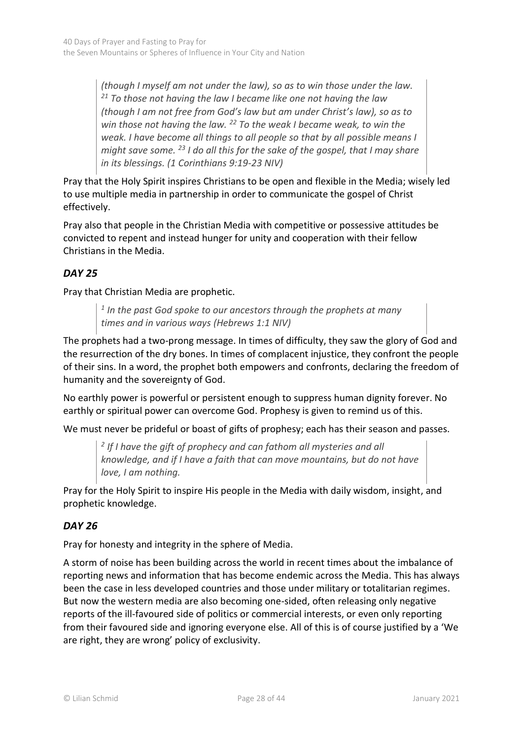*(though I myself am not under the law), so as to win those under the law. <sup>21</sup> To those not having the law I became like one not having the law (though I am not free from God's law but am under Christ's law), so as to win those not having the law. <sup>22</sup> To the weak I became weak, to win the weak. I have become all things to all people so that by all possible means I might save some. <sup>23</sup> I do all this for the sake of the gospel, that I may share in its blessings. (1 Corinthians 9:19-23 NIV)*

Pray that the Holy Spirit inspires Christians to be open and flexible in the Media; wisely led to use multiple media in partnership in order to communicate the gospel of Christ effectively.

Pray also that people in the Christian Media with competitive or possessive attitudes be convicted to repent and instead hunger for unity and cooperation with their fellow Christians in the Media.

# *DAY 25*

Pray that Christian Media are prophetic.

*1 In the past God spoke to our ancestors through the prophets at many times and in various ways (Hebrews 1:1 NIV)* 

The prophets had a two-prong message. In times of difficulty, they saw the glory of God and the resurrection of the dry bones. In times of complacent injustice, they confront the people of their sins. In a word, the prophet both empowers and confronts, declaring the freedom of humanity and the sovereignty of God.

No earthly power is powerful or persistent enough to suppress human dignity forever. No earthly or spiritual power can overcome God. Prophesy is given to remind us of this.

We must never be prideful or boast of gifts of prophesy; each has their season and passes.

*2 If I have the gift of prophecy and can fathom all mysteries and all knowledge, and if I have a faith that can move mountains, but do not have love, I am nothing.* 

Pray for the Holy Spirit to inspire His people in the Media with daily wisdom, insight, and prophetic knowledge.

# *DAY 26*

Pray for honesty and integrity in the sphere of Media.

A storm of noise has been building across the world in recent times about the imbalance of reporting news and information that has become endemic across the Media. This has always been the case in less developed countries and those under military or totalitarian regimes. But now the western media are also becoming one-sided, often releasing only negative reports of the ill-favoured side of politics or commercial interests, or even only reporting from their favoured side and ignoring everyone else. All of this is of course justified by a 'We are right, they are wrong' policy of exclusivity.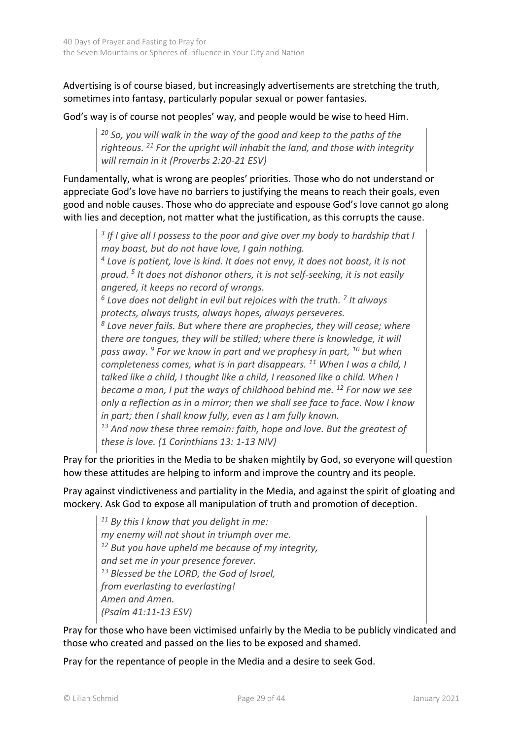Advertising is of course biased, but increasingly advertisements are stretching the truth, sometimes into fantasy, particularly popular sexual or power fantasies.

God's way is of course not peoples' way, and people would be wise to heed Him.

*<sup>20</sup> So, you will walk in the way of the good and keep to the paths of the righteous. <sup>21</sup> For the upright will inhabit the land, and those with integrity will remain in it (Proverbs 2:20-21 ESV)*

Fundamentally, what is wrong are peoples' priorities. Those who do not understand or appreciate God's love have no barriers to justifying the means to reach their goals, even good and noble causes. Those who do appreciate and espouse God's love cannot go along with lies and deception, not matter what the justification, as this corrupts the cause.

<sup>3</sup> If I give all I possess to the poor and give over my body to hardship that I *may boast, but do not have love, I gain nothing.*

*4 Love is patient, love is kind. It does not envy, it does not boast, it is not proud. <sup>5</sup> It does not dishonor others, it is not self-seeking, it is not easily angered, it keeps no record of wrongs.*

*6 Love does not delight in evil but rejoices with the truth. 7 It always protects, always trusts, always hopes, always perseveres.*

*8 Love never fails. But where there are prophecies, they will cease; where there are tongues, they will be stilled; where there is knowledge, it will pass away. <sup>9</sup> For we know in part and we prophesy in part, <sup>10</sup> but when completeness comes, what is in part disappears. <sup>11</sup> When I was a child, I talked like a child, I thought like a child, I reasoned like a child. When I became a man, I put the ways of childhood behind me. <sup>12</sup> For now we see only a reflection as in a mirror; then we shall see face to face. Now I know in part; then I shall know fully, even as I am fully known.*

*<sup>13</sup> And now these three remain: faith, hope and love. But the greatest of these is love. (1 Corinthians 13: 1-13 NIV)*

Pray for the priorities in the Media to be shaken mightily by God, so everyone will question how these attitudes are helping to inform and improve the country and its people.

Pray against vindictiveness and partiality in the Media, and against the spirit of gloating and mockery. Ask God to expose all manipulation of truth and promotion of deception.

*<sup>11</sup> By this I know that you delight in me: my enemy will not shout in triumph over me. <sup>12</sup> But you have upheld me because of my integrity, and set me in your presence forever. <sup>13</sup> Blessed be the LORD, the God of Israel, from everlasting to everlasting! Amen and Amen. (Psalm 41:11-13 ESV)*

Pray for those who have been victimised unfairly by the Media to be publicly vindicated and those who created and passed on the lies to be exposed and shamed.

Pray for the repentance of people in the Media and a desire to seek God.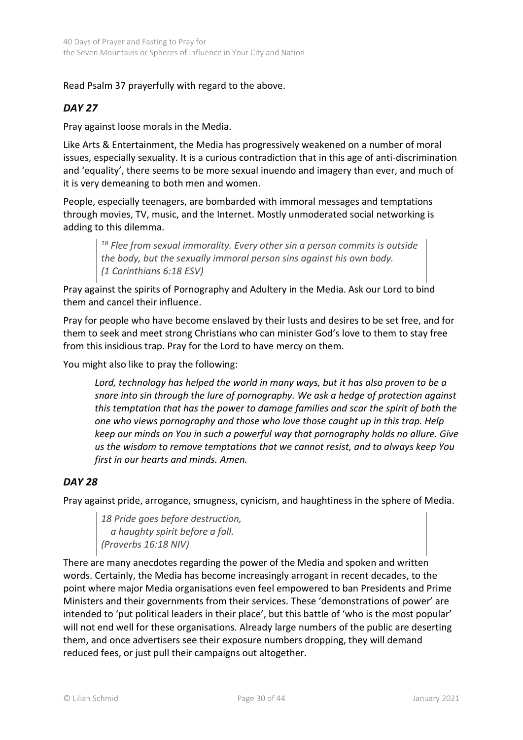## Read Psalm 37 prayerfully with regard to the above.

#### *DAY 27*

Pray against loose morals in the Media.

Like Arts & Entertainment, the Media has progressively weakened on a number of moral issues, especially sexuality. It is a curious contradiction that in this age of anti-discrimination and 'equality', there seems to be more sexual inuendo and imagery than ever, and much of it is very demeaning to both men and women.

People, especially teenagers, are bombarded with immoral messages and temptations through movies, TV, music, and the Internet. Mostly unmoderated social networking is adding to this dilemma.

*<sup>18</sup> Flee from sexual immorality. Every other sin a person commits is outside the body, but the sexually immoral person sins against his own body. (1 Corinthians 6:18 ESV)*

Pray against the spirits of Pornography and Adultery in the Media. Ask our Lord to bind them and cancel their influence.

Pray for people who have become enslaved by their lusts and desires to be set free, and for them to seek and meet strong Christians who can minister God's love to them to stay free from this insidious trap. Pray for the Lord to have mercy on them.

You might also like to pray the following:

*Lord, technology has helped the world in many ways, but it has also proven to be a snare into sin through the lure of pornography. We ask a hedge of protection against this temptation that has the power to damage families and scar the spirit of both the one who views pornography and those who love those caught up in this trap. Help keep our minds on You in such a powerful way that pornography holds no allure. Give us the wisdom to remove temptations that we cannot resist, and to always keep You first in our hearts and minds. Amen.*

#### *DAY 28*

Pray against pride, arrogance, smugness, cynicism, and haughtiness in the sphere of Media.

*18 Pride goes before destruction, a haughty spirit before a fall. (Proverbs 16:18 NIV)*

There are many anecdotes regarding the power of the Media and spoken and written words. Certainly, the Media has become increasingly arrogant in recent decades, to the point where major Media organisations even feel empowered to ban Presidents and Prime Ministers and their governments from their services. These 'demonstrations of power' are intended to 'put political leaders in their place', but this battle of 'who is the most popular' will not end well for these organisations. Already large numbers of the public are deserting them, and once advertisers see their exposure numbers dropping, they will demand reduced fees, or just pull their campaigns out altogether.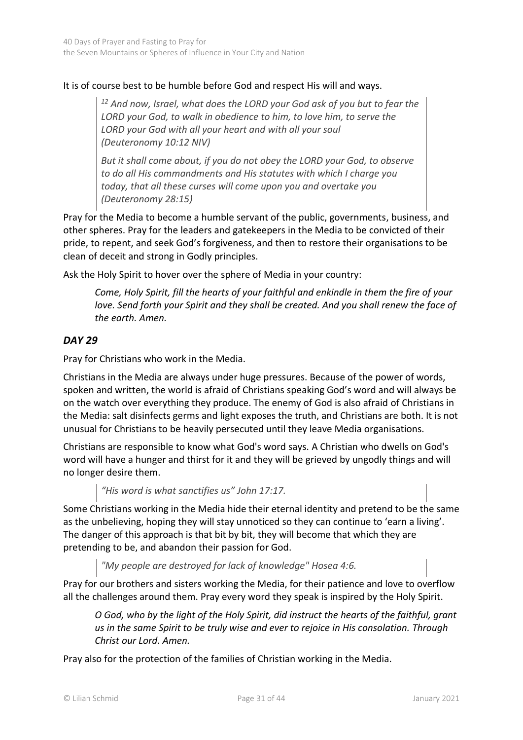## It is of course best to be humble before God and respect His will and ways.

*<sup>12</sup> And now, Israel, what does the LORD your God ask of you but to fear the LORD your God, to walk in obedience to him, to love him, to serve the LORD your God with all your heart and with all your soul (Deuteronomy 10:12 NIV)*

*But it shall come about, if you do not obey the LORD your God, to observe to do all His commandments and His statutes with which I charge you today, that all these curses will come upon you and overtake you (Deuteronomy 28:15)*

Pray for the Media to become a humble servant of the public, governments, business, and other spheres. Pray for the leaders and gatekeepers in the Media to be convicted of their pride, to repent, and seek God's forgiveness, and then to restore their organisations to be clean of deceit and strong in Godly principles.

Ask the Holy Spirit to hover over the sphere of Media in your country:

*Come, Holy Spirit, fill the hearts of your faithful and enkindle in them the fire of your love. Send forth your Spirit and they shall be created. And you shall renew the face of the earth. Amen.*

## *DAY 29*

Pray for Christians who work in the Media.

Christians in the Media are always under huge pressures. Because of the power of words, spoken and written, the world is afraid of Christians speaking God's word and will always be on the watch over everything they produce. The enemy of God is also afraid of Christians in the Media: salt disinfects germs and light exposes the truth, and Christians are both. It is not unusual for Christians to be heavily persecuted until they leave Media organisations.

Christians are responsible to know what God's word says. A Christian who dwells on God's word will have a hunger and thirst for it and they will be grieved by ungodly things and will no longer desire them.

*"His word is what sanctifies us" John 17:17.* 

Some Christians working in the Media hide their eternal identity and pretend to be the same as the unbelieving, hoping they will stay unnoticed so they can continue to 'earn a living'. The danger of this approach is that bit by bit, they will become that which they are pretending to be, and abandon their passion for God.

*"My people are destroyed for lack of knowledge" Hosea 4:6.*

Pray for our brothers and sisters working the Media, for their patience and love to overflow all the challenges around them. Pray every word they speak is inspired by the Holy Spirit.

*O God, who by the light of the Holy Spirit, did instruct the hearts of the faithful, grant us in the same Spirit to be truly wise and ever to rejoice in His consolation. Through Christ our Lord. Amen.*

Pray also for the protection of the families of Christian working in the Media.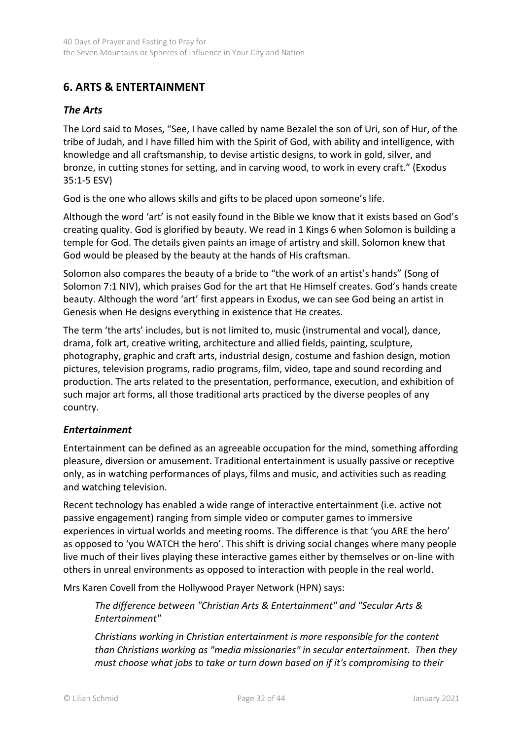# <span id="page-31-0"></span>**6. ARTS & ENTERTAINMENT**

## *The Arts*

The Lord said to Moses, "See, I have called by name Bezalel the son of Uri, son of Hur, of the tribe of Judah, and I have filled him with the Spirit of God, with ability and intelligence, with knowledge and all craftsmanship, to devise artistic designs, to work in gold, silver, and bronze, in cutting stones for setting, and in carving wood, to work in every craft." (Exodus 35:1-5 ESV)

God is the one who allows skills and gifts to be placed upon someone's life.

Although the word 'art' is not easily found in the Bible we know that it exists based on God's creating quality. God is glorified by beauty. We read in 1 Kings 6 when Solomon is building a temple for God. The details given paints an image of artistry and skill. Solomon knew that God would be pleased by the beauty at the hands of His craftsman.

Solomon also compares the beauty of a bride to "the work of an artist's hands" (Song of Solomon 7:1 NIV), which praises God for the art that He Himself creates. God's hands create beauty. Although the word 'art' first appears in Exodus, we can see God being an artist in Genesis when He designs everything in existence that He creates.

The term 'the arts' includes, but is not limited to, music (instrumental and vocal), dance, drama, folk art, creative writing, architecture and allied fields, painting, sculpture, photography, graphic and craft arts, industrial design, costume and fashion design, motion pictures, television programs, radio programs, film, video, tape and sound recording and production. The arts related to the presentation, performance, execution, and exhibition of such major art forms, all those traditional arts practiced by the diverse peoples of any country.

## *Entertainment*

Entertainment can be defined as an agreeable occupation for the mind, something affording pleasure, diversion or amusement. Traditional entertainment is usually passive or receptive only, as in watching performances of plays, films and music, and activities such as reading and watching television.

Recent technology has enabled a wide range of interactive entertainment (i.e. active not passive engagement) ranging from simple video or computer games to immersive experiences in virtual worlds and meeting rooms. The difference is that 'you ARE the hero' as opposed to 'you WATCH the hero'. This shift is driving social changes where many people live much of their lives playing these interactive games either by themselves or on-line with others in unreal environments as opposed to interaction with people in the real world.

Mrs Karen Covell from the Hollywood Prayer Network (HPN) says:

*The difference between "Christian Arts & Entertainment" and "Secular Arts & Entertainment"* 

*Christians working in Christian entertainment is more responsible for the content than Christians working as "media missionaries" in secular entertainment. Then they must choose what jobs to take or turn down based on if it's compromising to their*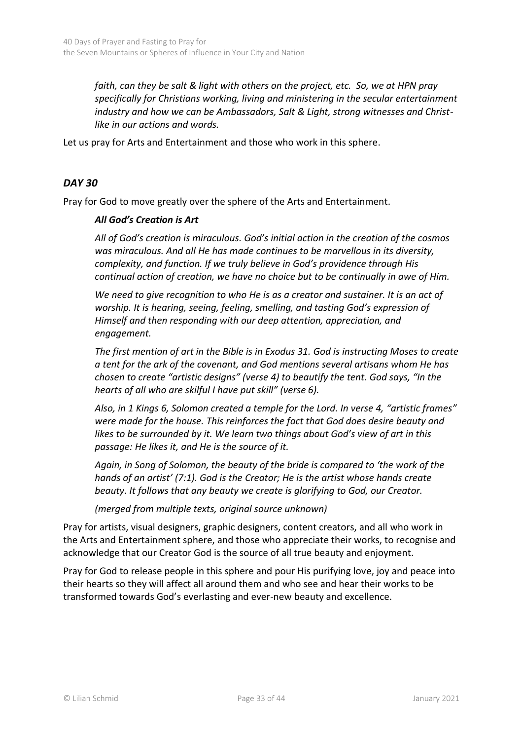*faith, can they be salt & light with others on the project, etc. So, we at HPN pray specifically for Christians working, living and ministering in the secular entertainment industry and how we can be Ambassadors, Salt & Light, strong witnesses and Christlike in our actions and words.*

Let us pray for Arts and Entertainment and those who work in this sphere.

#### *DAY 30*

Pray for God to move greatly over the sphere of the Arts and Entertainment.

#### *All God's Creation is Art*

*All of God's creation is miraculous. God's initial action in the creation of the cosmos was miraculous. And all He has made continues to be marvellous in its diversity, complexity, and function. If we truly believe in God's providence through His continual action of creation, we have no choice but to be continually in awe of Him.*

We need to give recognition to who He is as a creator and sustainer. It is an act of *worship. It is hearing, seeing, feeling, smelling, and tasting God's expression of Himself and then responding with our deep attention, appreciation, and engagement.*

*The first mention of art in the Bible is in Exodus 31. God is instructing Moses to create a tent for the ark of the covenant, and God mentions several artisans whom He has chosen to create "artistic designs" (verse 4) to beautify the tent. God says, "In the hearts of all who are skilful I have put skill" (verse 6).* 

*Also, in 1 Kings 6, Solomon created a temple for the Lord. In verse 4, "artistic frames" were made for the house. This reinforces the fact that God does desire beauty and likes to be surrounded by it. We learn two things about God's view of art in this passage: He likes it, and He is the source of it.*

*Again, in Song of Solomon, the beauty of the bride is compared to 'the work of the hands of an artist' (7:1). God is the Creator; He is the artist whose hands create beauty. It follows that any beauty we create is glorifying to God, our Creator.*

*(merged from multiple texts, original source unknown)* 

Pray for artists, visual designers, graphic designers, content creators, and all who work in the Arts and Entertainment sphere, and those who appreciate their works, to recognise and acknowledge that our Creator God is the source of all true beauty and enjoyment.

Pray for God to release people in this sphere and pour His purifying love, joy and peace into their hearts so they will affect all around them and who see and hear their works to be transformed towards God's everlasting and ever-new beauty and excellence.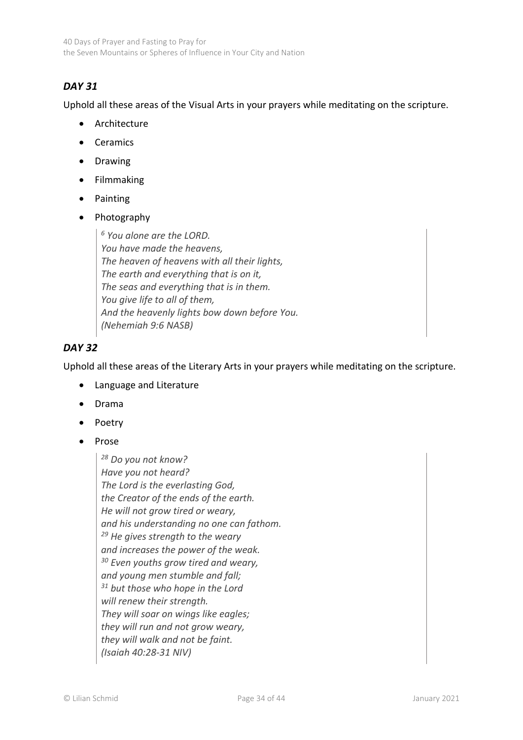# *DAY 31*

Uphold all these areas of the Visual Arts in your prayers while meditating on the scripture.

- Architecture
- Ceramics
- Drawing
- Filmmaking
- Painting
- Photography

*<sup>6</sup> You alone are the LORD. You have made the heavens, The heaven of heavens with all their lights, The earth and everything that is on it, The seas and everything that is in them. You give life to all of them, And the heavenly lights bow down before You. (Nehemiah 9:6 NASB)*

# *DAY 32*

Uphold all these areas of the Literary Arts in your prayers while meditating on the scripture.

- Language and Literature
- Drama
- Poetry
- Prose

*<sup>28</sup> Do you not know? Have you not heard? The Lord is the everlasting God, the Creator of the ends of the earth. He will not grow tired or weary, and his understanding no one can fathom. <sup>29</sup> He gives strength to the weary and increases the power of the weak. <sup>30</sup> Even youths grow tired and weary, and young men stumble and fall; <sup>31</sup> but those who hope in the Lord will renew their strength. They will soar on wings like eagles; they will run and not grow weary, they will walk and not be faint. (Isaiah 40:28-31 NIV)*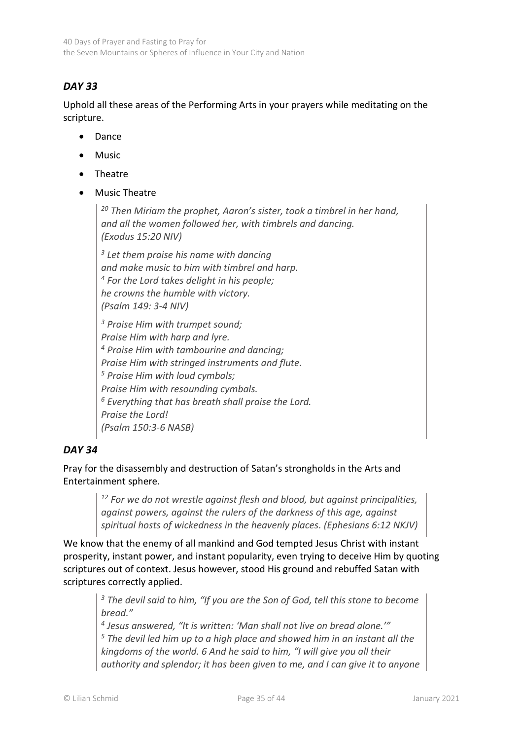# *DAY 33*

Uphold all these areas of the Performing Arts in your prayers while meditating on the scripture.

- Dance
- **Music**
- Theatre
- Music Theatre

*<sup>20</sup> Then Miriam the prophet, Aaron's sister, took a timbrel in her hand, and all the women followed her, with timbrels and dancing. (Exodus 15:20 NIV)*

*3 Let them praise his name with dancing and make music to him with timbrel and harp. <sup>4</sup> For the Lord takes delight in his people; he crowns the humble with victory. (Psalm 149: 3-4 NIV)*

*<sup>3</sup> Praise Him with trumpet sound; Praise Him with harp and lyre. <sup>4</sup> Praise Him with tambourine and dancing; Praise Him with stringed instruments and flute. <sup>5</sup> Praise Him with loud cymbals; Praise Him with resounding cymbals. <sup>6</sup> Everything that has breath shall praise the Lord. Praise the Lord! (Psalm 150:3-6 NASB)*

## *DAY 34*

Pray for the disassembly and destruction of Satan's strongholds in the Arts and Entertainment sphere.

> *<sup>12</sup> For we do not wrestle against flesh and blood, but against principalities, against powers, against the rulers of the darkness of this age, against spiritual hosts of wickedness in the heavenly places. (Ephesians 6:12 NKJV)*

We know that the enemy of all mankind and God tempted Jesus Christ with instant prosperity, instant power, and instant popularity, even trying to deceive Him by quoting scriptures out of context. Jesus however, stood His ground and rebuffed Satan with scriptures correctly applied.

> *<sup>3</sup> The devil said to him, "If you are the Son of God, tell this stone to become bread."*

> *4 Jesus answered, "It is written: 'Man shall not live on bread alone.'" <sup>5</sup> The devil led him up to a high place and showed him in an instant all the kingdoms of the world. 6 And he said to him, "I will give you all their authority and splendor; it has been given to me, and I can give it to anyone*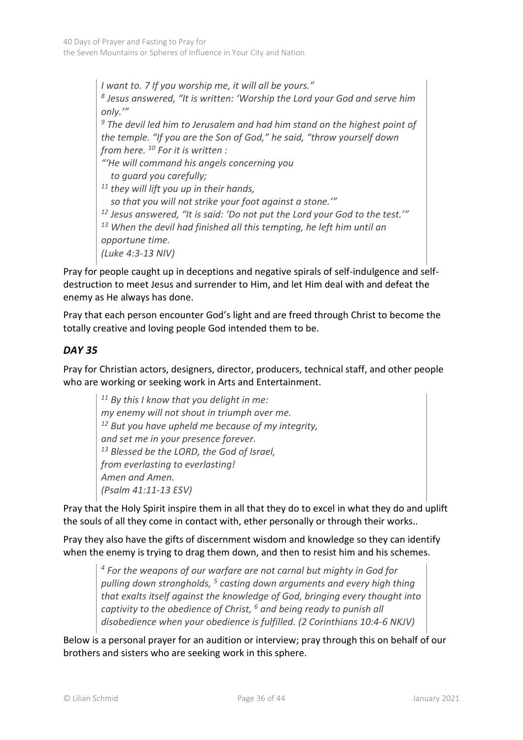*I want to. 7 If you worship me, it will all be yours." 8 Jesus answered, "It is written: 'Worship the Lord your God and serve him only.'"* 

*<sup>9</sup> The devil led him to Jerusalem and had him stand on the highest point of the temple. "If you are the Son of God," he said, "throw yourself down from here. <sup>10</sup> For it is written :*

*"'He will command his angels concerning you to guard you carefully;* 

*<sup>11</sup> they will lift you up in their hands, so that you will not strike your foot against a stone.'" <sup>12</sup> Jesus answered, "It is said: 'Do not put the Lord your God to the test.'"* 

*<sup>13</sup> When the devil had finished all this tempting, he left him until an* 

*opportune time.*

*(Luke 4:3-13 NIV)*

Pray for people caught up in deceptions and negative spirals of self-indulgence and selfdestruction to meet Jesus and surrender to Him, and let Him deal with and defeat the enemy as He always has done.

Pray that each person encounter God's light and are freed through Christ to become the totally creative and loving people God intended them to be.

# *DAY 35*

Pray for Christian actors, designers, director, producers, technical staff, and other people who are working or seeking work in Arts and Entertainment.

*<sup>11</sup> By this I know that you delight in me: my enemy will not shout in triumph over me. <sup>12</sup> But you have upheld me because of my integrity, and set me in your presence forever. <sup>13</sup> Blessed be the LORD, the God of Israel, from everlasting to everlasting! Amen and Amen. (Psalm 41:11-13 ESV)*

Pray that the Holy Spirit inspire them in all that they do to excel in what they do and uplift the souls of all they come in contact with, ether personally or through their works..

Pray they also have the gifts of discernment wisdom and knowledge so they can identify when the enemy is trying to drag them down, and then to resist him and his schemes.

> *<sup>4</sup> For the weapons of our warfare are not carnal but mighty in God for pulling down strongholds, <sup>5</sup> casting down arguments and every high thing that exalts itself against the knowledge of God, bringing every thought into captivity to the obedience of Christ, <sup>6</sup> and being ready to punish all disobedience when your obedience is fulfilled. (2 Corinthians 10:4-6 NKJV)*

Below is a personal prayer for an audition or interview; pray through this on behalf of our brothers and sisters who are seeking work in this sphere.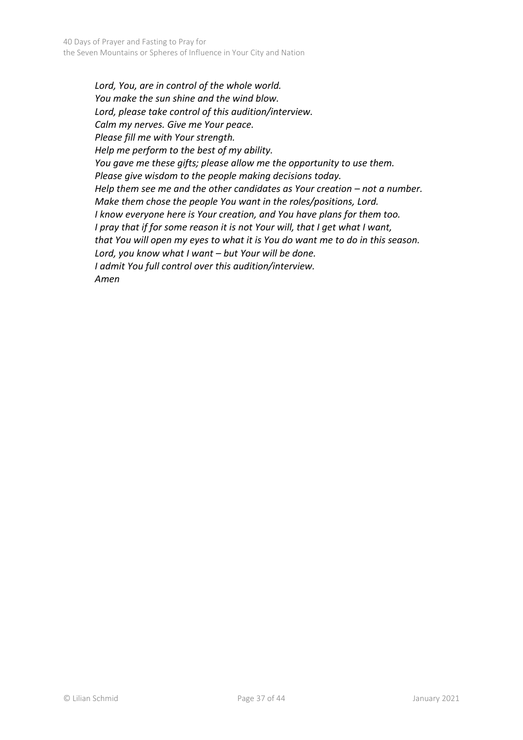*Lord, You, are in control of the whole world. You make the sun shine and the wind blow. Lord, please take control of this audition/interview. Calm my nerves. Give me Your peace. Please fill me with Your strength. Help me perform to the best of my ability. You gave me these gifts; please allow me the opportunity to use them. Please give wisdom to the people making decisions today. Help them see me and the other candidates as Your creation – not a number. Make them chose the people You want in the roles/positions, Lord. I know everyone here is Your creation, and You have plans for them too. I pray that if for some reason it is not Your will, that I get what I want, that You will open my eyes to what it is You do want me to do in this season. Lord, you know what I want – but Your will be done. I admit You full control over this audition/interview. Amen*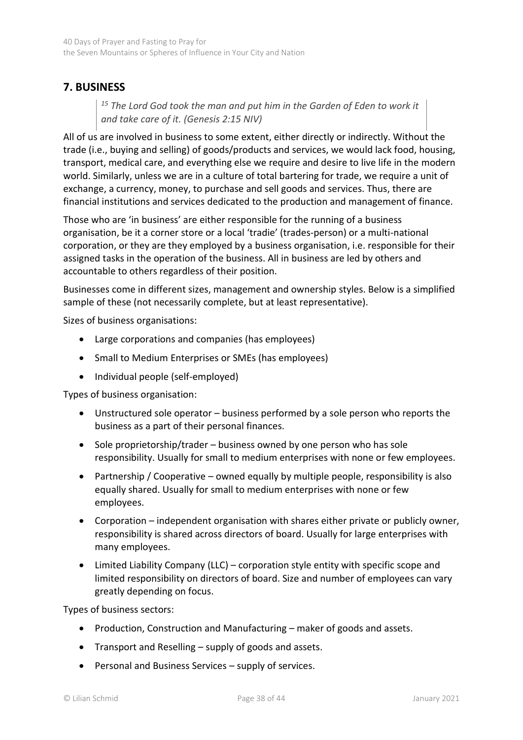# <span id="page-37-0"></span>**7. BUSINESS**

*<sup>15</sup> The Lord God took the man and put him in the Garden of Eden to work it and take care of it. (Genesis 2:15 NIV)*

All of us are involved in business to some extent, either directly or indirectly. Without the trade (i.e., buying and selling) of goods/products and services, we would lack food, housing, transport, medical care, and everything else we require and desire to live life in the modern world. Similarly, unless we are in a culture of total bartering for trade, we require a unit of exchange, a currency, money, to purchase and sell goods and services. Thus, there are financial institutions and services dedicated to the production and management of finance.

Those who are 'in business' are either responsible for the running of a business organisation, be it a corner store or a local 'tradie' (trades-person) or a multi-national corporation, or they are they employed by a business organisation, i.e. responsible for their assigned tasks in the operation of the business. All in business are led by others and accountable to others regardless of their position.

Businesses come in different sizes, management and ownership styles. Below is a simplified sample of these (not necessarily complete, but at least representative).

Sizes of business organisations:

- Large corporations and companies (has employees)
- Small to Medium Enterprises or SMEs (has employees)
- Individual people (self-employed)

Types of business organisation:

- Unstructured sole operator business performed by a sole person who reports the business as a part of their personal finances.
- Sole proprietorship/trader business owned by one person who has sole responsibility. Usually for small to medium enterprises with none or few employees.
- Partnership / Cooperative owned equally by multiple people, responsibility is also equally shared. Usually for small to medium enterprises with none or few employees.
- Corporation independent organisation with shares either private or publicly owner, responsibility is shared across directors of board. Usually for large enterprises with many employees.
- Limited Liability Company (LLC) corporation style entity with specific scope and limited responsibility on directors of board. Size and number of employees can vary greatly depending on focus.

Types of business sectors:

- Production, Construction and Manufacturing maker of goods and assets.
- Transport and Reselling supply of goods and assets.
- Personal and Business Services supply of services.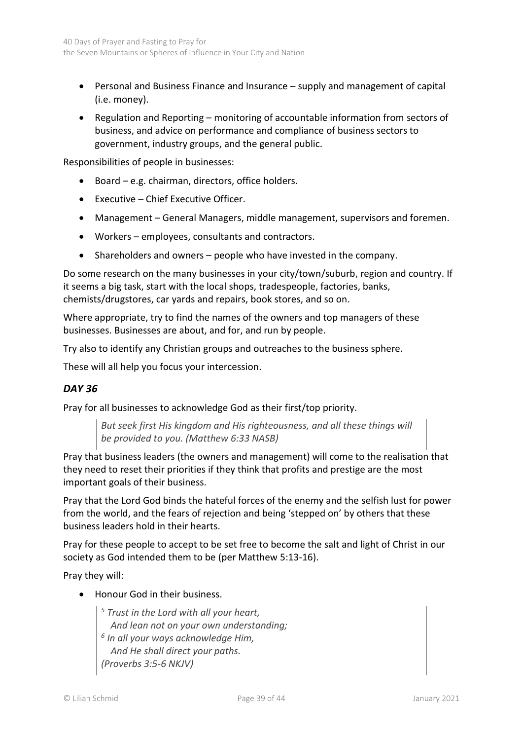- Personal and Business Finance and Insurance supply and management of capital (i.e. money).
- Regulation and Reporting monitoring of accountable information from sectors of business, and advice on performance and compliance of business sectors to government, industry groups, and the general public.

Responsibilities of people in businesses:

- Board e.g. chairman, directors, office holders.
- Executive Chief Executive Officer.
- Management General Managers, middle management, supervisors and foremen.
- Workers employees, consultants and contractors.
- Shareholders and owners people who have invested in the company.

Do some research on the many businesses in your city/town/suburb, region and country. If it seems a big task, start with the local shops, tradespeople, factories, banks, chemists/drugstores, car yards and repairs, book stores, and so on.

Where appropriate, try to find the names of the owners and top managers of these businesses. Businesses are about, and for, and run by people.

Try also to identify any Christian groups and outreaches to the business sphere.

These will all help you focus your intercession.

#### *DAY 36*

Pray for all businesses to acknowledge God as their first/top priority.

*But seek first His kingdom and His righteousness, and all these things will be provided to you. (Matthew 6:33 NASB)*

Pray that business leaders (the owners and management) will come to the realisation that they need to reset their priorities if they think that profits and prestige are the most important goals of their business.

Pray that the Lord God binds the hateful forces of the enemy and the selfish lust for power from the world, and the fears of rejection and being 'stepped on' by others that these business leaders hold in their hearts.

Pray for these people to accept to be set free to become the salt and light of Christ in our society as God intended them to be (per Matthew 5:13-16).

Pray they will:

• Honour God in their business.

*<sup>5</sup> Trust in the Lord with all your heart, And lean not on your own understanding; 6 In all your ways acknowledge Him, And He shall direct your paths. (Proverbs 3:5-6 NKJV)*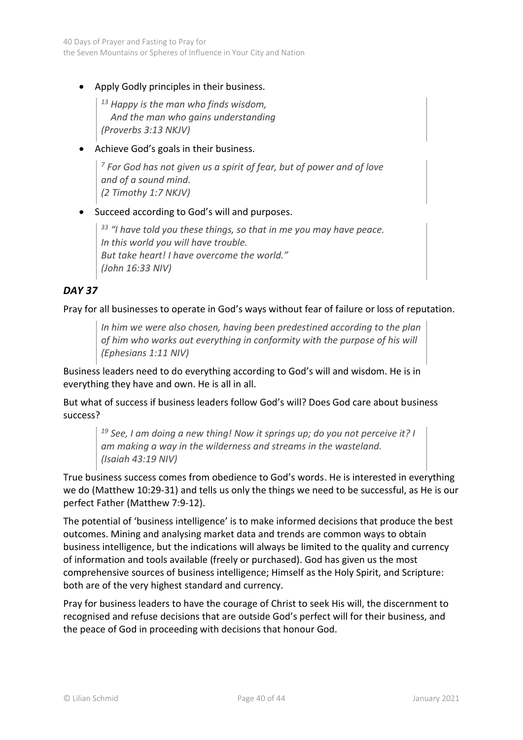• Apply Godly principles in their business.

*<sup>13</sup> Happy is the man who finds wisdom, And the man who gains understanding (Proverbs 3:13 NKJV)*

• Achieve God's goals in their business.

*<sup>7</sup> For God has not given us a spirit of fear, but of power and of love and of a sound mind. (2 Timothy 1:7 NKJV)*

#### • Succeed according to God's will and purposes.

*<sup>33</sup> "I have told you these things, so that in me you may have peace. In this world you will have trouble. But take heart! I have overcome the world." (John 16:33 NIV)*

## *DAY 37*

Pray for all businesses to operate in God's ways without fear of failure or loss of reputation.

*In him we were also chosen, having been predestined according to the plan of him who works out everything in conformity with the purpose of his will (Ephesians 1:11 NIV)*

Business leaders need to do everything according to God's will and wisdom. He is in everything they have and own. He is all in all.

But what of success if business leaders follow God's will? Does God care about business success?

*<sup>19</sup> See, I am doing a new thing! Now it springs up; do you not perceive it? I am making a way in the wilderness and streams in the wasteland. (Isaiah 43:19 NIV)*

True business success comes from obedience to God's words. He is interested in everything we do (Matthew 10:29-31) and tells us only the things we need to be successful, as He is our perfect Father (Matthew 7:9-12).

The potential of 'business intelligence' is to make informed decisions that produce the best outcomes. Mining and analysing market data and trends are common ways to obtain business intelligence, but the indications will always be limited to the quality and currency of information and tools available (freely or purchased). God has given us the most comprehensive sources of business intelligence; Himself as the Holy Spirit, and Scripture: both are of the very highest standard and currency.

Pray for business leaders to have the courage of Christ to seek His will, the discernment to recognised and refuse decisions that are outside God's perfect will for their business, and the peace of God in proceeding with decisions that honour God.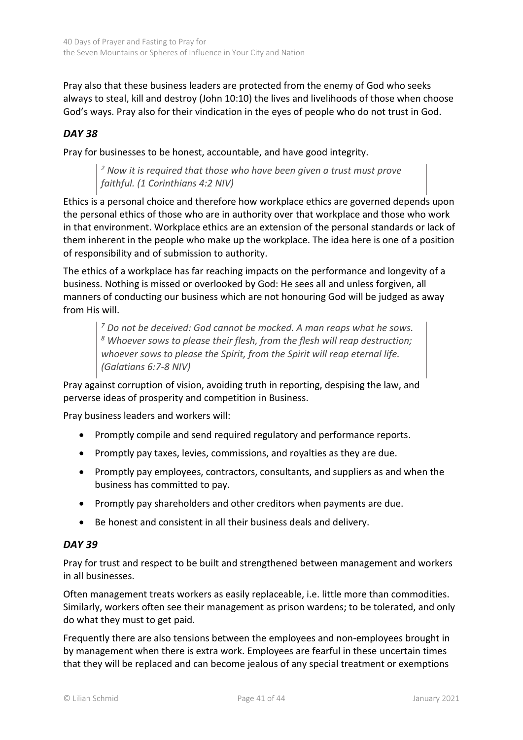Pray also that these business leaders are protected from the enemy of God who seeks always to steal, kill and destroy (John 10:10) the lives and livelihoods of those when choose God's ways. Pray also for their vindication in the eyes of people who do not trust in God.

## *DAY 38*

Pray for businesses to be honest, accountable, and have good integrity.

*<sup>2</sup> Now it is required that those who have been given a trust must prove faithful. (1 Corinthians 4:2 NIV)*

Ethics is a personal choice and therefore how workplace ethics are governed depends upon the personal ethics of those who are in authority over that workplace and those who work in that environment. Workplace ethics are an extension of the personal standards or lack of them inherent in the people who make up the workplace. The idea here is one of a position of responsibility and of submission to authority.

The ethics of a workplace has far reaching impacts on the performance and longevity of a business. Nothing is missed or overlooked by God: He sees all and unless forgiven, all manners of conducting our business which are not honouring God will be judged as away from His will.

*<sup>7</sup> Do not be deceived: God cannot be mocked. A man reaps what he sows. <sup>8</sup> Whoever sows to please their flesh, from the flesh will reap destruction; whoever sows to please the Spirit, from the Spirit will reap eternal life. (Galatians 6:7-8 NIV)*

Pray against corruption of vision, avoiding truth in reporting, despising the law, and perverse ideas of prosperity and competition in Business.

Pray business leaders and workers will:

- Promptly compile and send required regulatory and performance reports.
- Promptly pay taxes, levies, commissions, and royalties as they are due.
- Promptly pay employees, contractors, consultants, and suppliers as and when the business has committed to pay.
- Promptly pay shareholders and other creditors when payments are due.
- Be honest and consistent in all their business deals and delivery.

#### *DAY 39*

Pray for trust and respect to be built and strengthened between management and workers in all businesses.

Often management treats workers as easily replaceable, i.e. little more than commodities. Similarly, workers often see their management as prison wardens; to be tolerated, and only do what they must to get paid.

Frequently there are also tensions between the employees and non-employees brought in by management when there is extra work. Employees are fearful in these uncertain times that they will be replaced and can become jealous of any special treatment or exemptions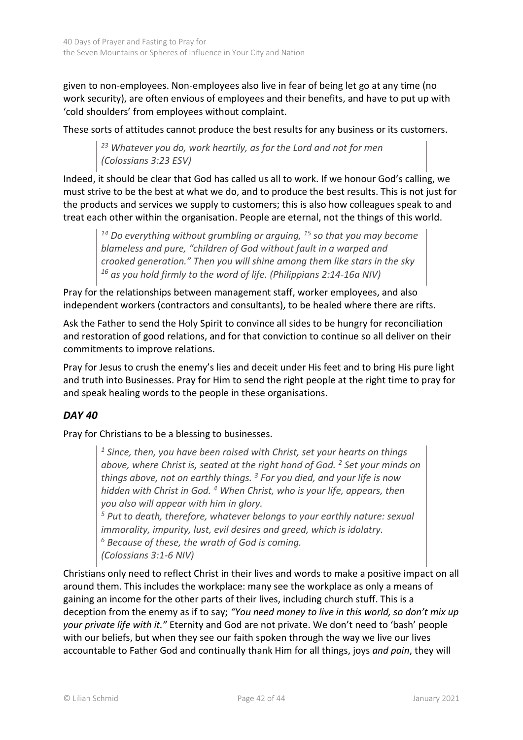given to non-employees. Non-employees also live in fear of being let go at any time (no work security), are often envious of employees and their benefits, and have to put up with 'cold shoulders' from employees without complaint.

These sorts of attitudes cannot produce the best results for any business or its customers.

*<sup>23</sup> Whatever you do, work heartily, as for the Lord and not for men (Colossians 3:23 ESV)*

Indeed, it should be clear that God has called us all to work. If we honour God's calling, we must strive to be the best at what we do, and to produce the best results. This is not just for the products and services we supply to customers; this is also how colleagues speak to and treat each other within the organisation. People are eternal, not the things of this world.

*<sup>14</sup> Do everything without grumbling or arguing, <sup>15</sup> so that you may become blameless and pure, "children of God without fault in a warped and crooked generation." Then you will shine among them like stars in the sky <sup>16</sup> as you hold firmly to the word of life. (Philippians 2:14-16a NIV)*

Pray for the relationships between management staff, worker employees, and also independent workers (contractors and consultants), to be healed where there are rifts.

Ask the Father to send the Holy Spirit to convince all sides to be hungry for reconciliation and restoration of good relations, and for that conviction to continue so all deliver on their commitments to improve relations.

Pray for Jesus to crush the enemy's lies and deceit under His feet and to bring His pure light and truth into Businesses. Pray for Him to send the right people at the right time to pray for and speak healing words to the people in these organisations.

# *DAY 40*

Pray for Christians to be a blessing to businesses.

*<sup>1</sup> Since, then, you have been raised with Christ, set your hearts on things above, where Christ is, seated at the right hand of God. <sup>2</sup> Set your minds on things above, not on earthly things. <sup>3</sup> For you died, and your life is now hidden with Christ in God. <sup>4</sup> When Christ, who is your life, appears, then you also will appear with him in glory.* 

*<sup>5</sup> Put to death, therefore, whatever belongs to your earthly nature: sexual immorality, impurity, lust, evil desires and greed, which is idolatry. <sup>6</sup> Because of these, the wrath of God is coming. (Colossians 3:1-6 NIV)*

Christians only need to reflect Christ in their lives and words to make a positive impact on all around them. This includes the workplace: many see the workplace as only a means of gaining an income for the other parts of their lives, including church stuff. This is a deception from the enemy as if to say; *"You need money to live in this world, so don't mix up your private life with it."* Eternity and God are not private. We don't need to 'bash' people with our beliefs, but when they see our faith spoken through the way we live our lives accountable to Father God and continually thank Him for all things, joys *and pain*, they will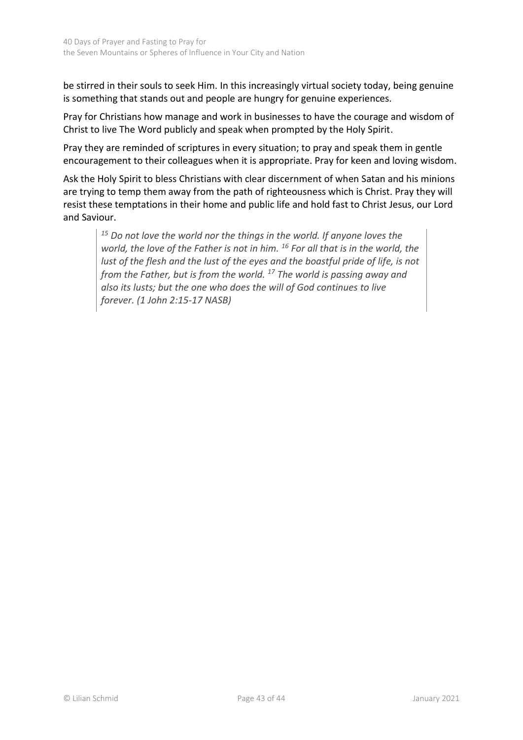be stirred in their souls to seek Him. In this increasingly virtual society today, being genuine is something that stands out and people are hungry for genuine experiences.

Pray for Christians how manage and work in businesses to have the courage and wisdom of Christ to live The Word publicly and speak when prompted by the Holy Spirit.

Pray they are reminded of scriptures in every situation; to pray and speak them in gentle encouragement to their colleagues when it is appropriate. Pray for keen and loving wisdom.

Ask the Holy Spirit to bless Christians with clear discernment of when Satan and his minions are trying to temp them away from the path of righteousness which is Christ. Pray they will resist these temptations in their home and public life and hold fast to Christ Jesus, our Lord and Saviour.

*<sup>15</sup> Do not love the world nor the things in the world. If anyone loves the world, the love of the Father is not in him. <sup>16</sup> For all that is in the world, the lust of the flesh and the lust of the eyes and the boastful pride of life, is not from the Father, but is from the world. <sup>17</sup> The world is passing away and also its lusts; but the one who does the will of God continues to live forever. (1 John 2:15-17 NASB)*